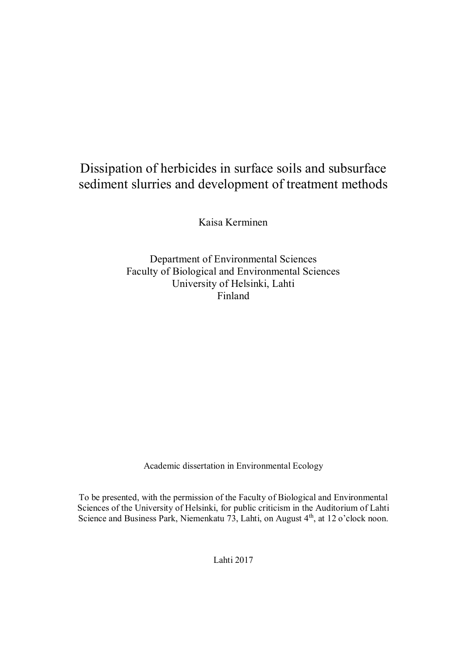# Dissipation of herbicides in surface soils and subsurface sediment slurries and development of treatment methods

Kaisa Kerminen

Department of Environmental Sciences Faculty of Biological and Environmental Sciences University of Helsinki, Lahti Finland

Academic dissertation in Environmental Ecology

To be presented, with the permission of the Faculty of Biological and Environmental Sciences of the University of Helsinki, for public criticism in the Auditorium of Lahti Science and Business Park, Niemenkatu  $73$ , Lahti, on August  $4<sup>th</sup>$ , at 12 o'clock noon.

Lahti 2017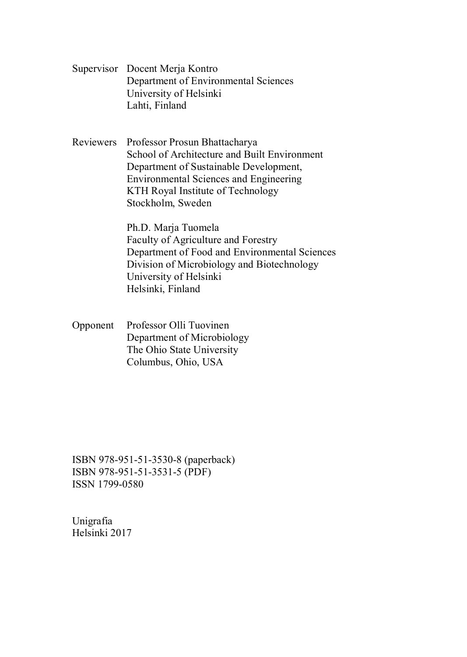Supervisor Docent Merja Kontro Department of Environmental Sciences University of Helsinki Lahti, Finland

Reviewers Professor Prosun Bhattacharya School of Architecture and Built Environment Department of Sustainable Development, Environmental Sciences and Engineering KTH Royal Institute of Technology Stockholm, Sweden

> Ph.D. Marja Tuomela Faculty of Agriculture and Forestry Department of Food and Environmental Sciences Division of Microbiology and Biotechnology University of Helsinki Helsinki, Finland

Opponent Professor Olli Tuovinen Department of Microbiology The Ohio State University Columbus, Ohio, USA

ISBN 978-951-51-3530-8 (paperback) ISBN 978-951-51-3531-5 (PDF) ISSN 1799-0580

Unigrafia Helsinki 2017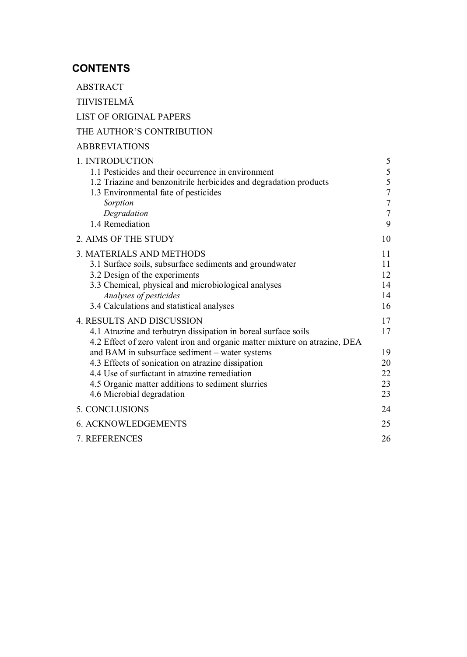# **CONTENTS**

ABSTRACT

TIIVISTELMÄ

LIST OF ORIGINAL PAPERS

# THE AUTHOR'S CONTRIBUTION

# ABBREVIATIONS

| 1. INTRODUCTION                                                            | 5              |
|----------------------------------------------------------------------------|----------------|
| 1.1 Pesticides and their occurrence in environment                         | 5              |
| 1.2 Triazine and benzonitrile herbicides and degradation products          | 5              |
| 1.3 Environmental fate of pesticides                                       | $\overline{7}$ |
| Sorption                                                                   | $\overline{7}$ |
| Degradation                                                                | $\overline{7}$ |
| 1.4 Remediation                                                            | 9              |
| 2. AIMS OF THE STUDY                                                       | 10             |
| 3. MATERIALS AND METHODS                                                   | 11             |
| 3.1 Surface soils, subsurface sediments and groundwater                    | 11             |
| 3.2 Design of the experiments                                              | 12             |
| 3.3 Chemical, physical and microbiological analyses                        | 14             |
| Analyses of pesticides                                                     | 14             |
| 3.4 Calculations and statistical analyses                                  | 16             |
| <b>4. RESULTS AND DISCUSSION</b>                                           | 17             |
| 4.1 Atrazine and terbutryn dissipation in boreal surface soils             | 17             |
| 4.2 Effect of zero valent iron and organic matter mixture on atrazine, DEA |                |
| and BAM in subsurface sediment - water systems                             | 19             |
| 4.3 Effects of sonication on atrazine dissipation                          | 20             |
| 4.4 Use of surfactant in atrazine remediation                              | 22             |
| 4.5 Organic matter additions to sediment slurries                          | 23             |
| 4.6 Microbial degradation                                                  | 23             |
| 5. CONCLUSIONS                                                             | 24             |
| <b>6. ACKNOWLEDGEMENTS</b>                                                 | 25             |
| 7. REFERENCES                                                              | 26             |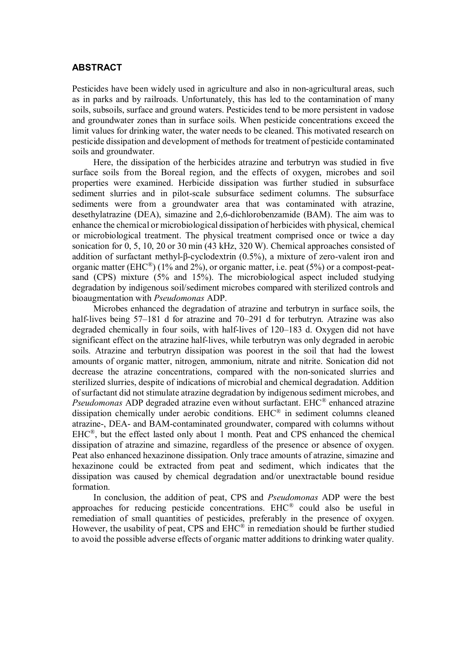#### **ABSTRACT**

Pesticides have been widely used in agriculture and also in non-agricultural areas, such as in parks and by railroads. Unfortunately, this has led to the contamination of many soils, subsoils, surface and ground waters. Pesticides tend to be more persistent in vadose and groundwater zones than in surface soils. When pesticide concentrations exceed the limit values for drinking water, the water needs to be cleaned. This motivated research on pesticide dissipation and development of methods for treatment of pesticide contaminated soils and groundwater.

Here, the dissipation of the herbicides atrazine and terbutryn was studied in five surface soils from the Boreal region, and the effects of oxygen, microbes and soil properties were examined. Herbicide dissipation was further studied in subsurface sediment slurries and in pilot-scale subsurface sediment columns. The subsurface sediments were from a groundwater area that was contaminated with atrazine, desethylatrazine (DEA), simazine and 2,6-dichlorobenzamide (BAM). The aim was to enhance the chemical or microbiological dissipation of herbicides with physical, chemical or microbiological treatment. The physical treatment comprised once or twice a day sonication for 0, 5, 10, 20 or 30 min (43 kHz, 320 W). Chemical approaches consisted of addition of surfactant methyl- $\beta$ -cyclodextrin (0.5%), a mixture of zero-valent iron and organic matter (EHC<sup>®</sup>) (1% and 2%), or organic matter, i.e. peat (5%) or a compost-peatsand (CPS) mixture (5% and 15%). The microbiological aspect included studying degradation by indigenous soil/sediment microbes compared with sterilized controls and bioaugmentation with *Pseudomonas* ADP.

Microbes enhanced the degradation of atrazine and terbutryn in surface soils, the half-lives being 57–181 d for atrazine and 70–291 d for terbutryn. Atrazine was also degraded chemically in four soils, with half-lives of 120–183 d. Oxygen did not have significant effect on the atrazine half-lives, while terbutryn was only degraded in aerobic soils. Atrazine and terbutryn dissipation was poorest in the soil that had the lowest amounts of organic matter, nitrogen, ammonium, nitrate and nitrite. Sonication did not decrease the atrazine concentrations, compared with the non-sonicated slurries and sterilized slurries, despite of indications of microbial and chemical degradation. Addition of surfactant did not stimulate atrazine degradation by indigenous sediment microbes, and *Pseudomonas* ADP degraded atrazine even without surfactant. EHC® enhanced atrazine dissipation chemically under aerobic conditions. EHC® in sediment columns cleaned atrazine-, DEA- and BAM-contaminated groundwater, compared with columns without EHC®, but the effect lasted only about 1 month. Peat and CPS enhanced the chemical dissipation of atrazine and simazine, regardless of the presence or absence of oxygen. Peat also enhanced hexazinone dissipation. Only trace amounts of atrazine, simazine and hexazinone could be extracted from peat and sediment, which indicates that the dissipation was caused by chemical degradation and/or unextractable bound residue formation.

In conclusion, the addition of peat, CPS and *Pseudomonas* ADP were the best approaches for reducing pesticide concentrations. EHC® could also be useful in remediation of small quantities of pesticides, preferably in the presence of oxygen. However, the usability of peat, CPS and EHC® in remediation should be further studied to avoid the possible adverse effects of organic matter additions to drinking water quality.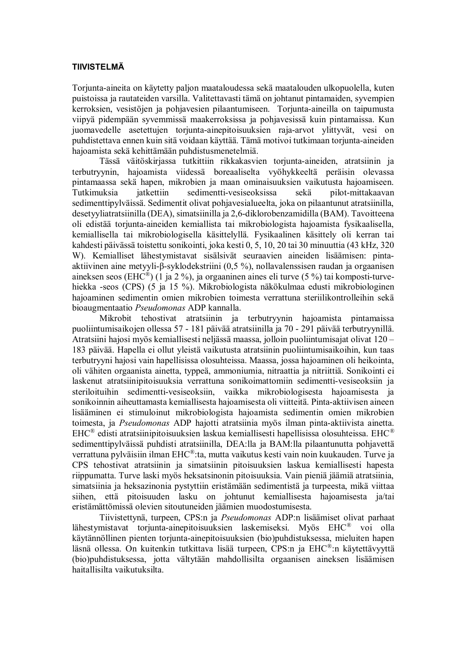#### **TIIVISTELMÄ**

Torjunta-aineita on käytetty paljon maataloudessa sekä maatalouden ulkopuolella, kuten puistoissa ja rautateiden varsilla. Valitettavasti tämä on johtanut pintamaiden, syvempien kerroksien, vesistöjen ja pohjavesien pilaantumiseen. Torjunta-aineilla on taipumusta viipyä pidempään syvemmissä maakerroksissa ja pohjavesissä kuin pintamaissa. Kun juomavedelle asetettujen torjunta-ainepitoisuuksien raja-arvot ylittyvät, vesi on puhdistettava ennen kuin sitä voidaan käyttää. Tämä motivoi tutkimaan torjunta-aineiden hajoamista sekä kehittämään puhdistusmenetelmiä.

Tässä väitöskirjassa tutkittiin rikkakasvien torjunta-aineiden, atratsiinin ja terbutryynin, hajoamista viidessä boreaaliselta vyöhykkeeltä peräisin olevassa pintamaassa sekä hapen, mikrobien ja maan ominaisuuksien vaikutusta hajoamiseen. Tutkimuksia jatkettiin sedimentti-vesiseoksissa sekä pilot-mittakaavan sedimenttipylväissä. Sedimentit olivat pohjavesialueelta, joka on pilaantunut atratsiinilla, desetyyliatratsiinilla (DEA), simatsiinilla ja 2,6-diklorobenzamidilla (BAM). Tavoitteena oli edistää torjunta-aineiden kemiallista tai mikrobiologista hajoamista fysikaalisella, kemiallisella tai mikrobiologisella käsittelyllä. Fysikaalinen käsittely oli kerran tai kahdesti päivässä toistettu sonikointi, joka kesti 0, 5, 10, 20 tai 30 minuuttia (43 kHz, 320 W). Kemialliset lähestymistavat sisälsivät seuraavien aineiden lisäämisen: pintaaktiivinen aine metyyli- $\beta$ -syklodekstriini (0,5 %), nollavalenssisen raudan ja orgaanisen aineksen seos (EHC<sup>®</sup>) (1 ja 2 %), ja orgaaninen aines eli turve (5 %) tai komposti-turvehiekka -seos (CPS) (5 ja 15 %). Mikrobiologista näkökulmaa edusti mikrobiologinen hajoaminen sedimentin omien mikrobien toimesta verrattuna steriilikontrolleihin sekä bioaugmentaatio *Pseudomonas* ADP kannalla.

Mikrobit tehostivat atratsiinin ja terbutryynin hajoamista pintamaissa puoliintumisaikojen ollessa 57 - 181 päivää atratsiinilla ja 70 - 291 päivää terbutryynillä. Atratsiini hajosi myös kemiallisesti neljässä maassa, jolloin puoliintumisajat olivat 120 – 183 päivää. Hapella ei ollut yleistä vaikutusta atratsiinin puoliintumisaikoihin, kun taas terbutryyni hajosi vain hapellisissa olosuhteissa. Maassa, jossa hajoaminen oli heikointa, oli vähiten orgaanista ainetta, typpeä, ammoniumia, nitraattia ja nitriittiä. Sonikointi ei laskenut atratsiinipitoisuuksia verrattuna sonikoimattomiin sedimentti-vesiseoksiin ja steriloituihin sedimentti-vesiseoksiin, vaikka mikrobiologisesta hajoamisesta ja sonikoinnin aiheuttamasta kemiallisesta hajoamisesta oli viitteitä. Pinta-aktiivisen aineen lisääminen ei stimuloinut mikrobiologista hajoamista sedimentin omien mikrobien toimesta, ja *Pseudomonas* ADP hajotti atratsiinia myös ilman pinta-aktiivista ainetta. EHC<sup>®</sup> edisti atratsiinipitoisuuksien laskua kemiallisesti hapellisissa olosuhteissa. EHC<sup>®</sup> sedimenttipylväissä puhdisti atratsiinilla, DEA:lla ja BAM:lla pilaantunutta pohjavettä verrattuna pylväisiin ilman EHC®:ta, mutta vaikutus kesti vain noin kuukauden. Turve ja CPS tehostivat atratsiinin ja simatsiinin pitoisuuksien laskua kemiallisesti hapesta riippumatta. Turve laski myös heksatsinonin pitoisuuksia. Vain pieniä jäämiä atratsiinia, simatsiinia ja heksazinonia pystyttiin eristämään sedimentistä ja turpeesta, mikä viittaa siihen, että pitoisuuden lasku on johtunut kemiallisesta hajoamisesta ja/tai eristämättömissä olevien sitoutuneiden jäämien muodostumisesta.

Tiivistettynä, turpeen, CPS:n ja *Pseudomonas* ADP:n lisäämiset olivat parhaat lähestymistavat torjunta-ainepitoisuuksien laskemiseksi. Myös EHC® voi olla käytännöllinen pienten torjunta-ainepitoisuuksien (bio)puhdistuksessa, mieluiten hapen läsnä ollessa. On kuitenkin tutkittava lisää turpeen, CPS:n ja EHC®:n käytettävyyttä (bio)puhdistuksessa, jotta vältytään mahdollisilta orgaanisen aineksen lisäämisen haitallisilta vaikutuksilta.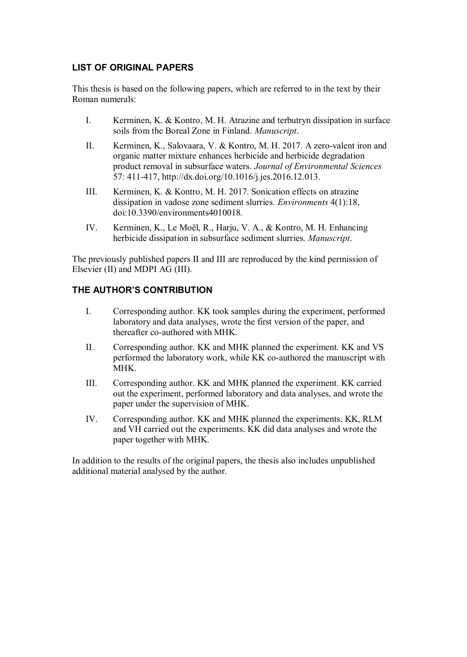# **LIST OF ORIGINAL PAPERS**

This thesis is based on the following papers, which are referred to in the text by their Roman numerals:

- I. Kerminen, K. & Kontro, M. H. Atrazine and terbutryn dissipation in surface soils from the Boreal Zone in Finland. *Manuscript*.
- II. Kerminen, K., Salovaara, V. & Kontro, M. H. 2017. A zero-valent iron and organic matter mixture enhances herbicide and herbicide degradation product removal in subsurface waters. *Journal of Environmental Sciences* 57: 411-417, http://dx.doi.org/10.1016/j.jes.2016.12.013.
- III. Kerminen, K. & Kontro, M. H. 2017. Sonication effects on atrazine dissipation in vadose zone sediment slurries. *Environments* 4(1):18, doi:10.3390/environments4010018*.*
- IV. Kerminen, K., Le Moël, R., Harju, V. A., & Kontro, M. H. Enhancing herbicide dissipation in subsurface sediment slurries. *Manuscript*.

The previously published papers II and III are reproduced by the kind permission of Elsevier (II) and MDPI AG (III).

# **THE AUTHOR'S CONTRIBUTION**

- I. Corresponding author. KK took samples during the experiment, performed laboratory and data analyses, wrote the first version of the paper, and thereafter co-authored with MHK.
- II. Corresponding author. KK and MHK planned the experiment. KK and VS performed the laboratory work, while KK co-authored the manuscript with **MHK**
- III. Corresponding author. KK and MHK planned the experiment. KK carried out the experiment, performed laboratory and data analyses, and wrote the paper under the supervision of MHK.
- IV. Corresponding author. KK and MHK planned the experiments. KK, RLM and VH carried out the experiments. KK did data analyses and wrote the paper together with MHK.

In addition to the results of the original papers, the thesis also includes unpublished additional material analysed by the author.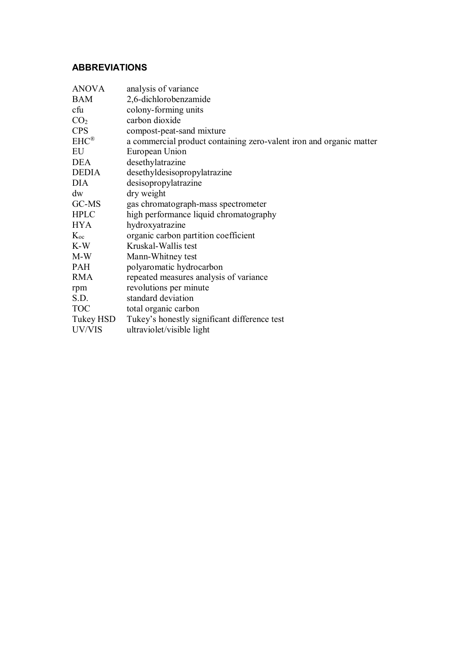# **ABBREVIATIONS**

| <b>ANOVA</b>    | analysis of variance                                                |
|-----------------|---------------------------------------------------------------------|
| <b>BAM</b>      | 2,6-dichlorobenzamide                                               |
| cfu             | colony-forming units                                                |
| CO <sub>2</sub> | carbon dioxide                                                      |
| <b>CPS</b>      | compost-peat-sand mixture                                           |
| $EHC^{\otimes}$ | a commercial product containing zero-valent iron and organic matter |
| EU              | European Union                                                      |
| <b>DEA</b>      | desethylatrazine                                                    |
| <b>DEDIA</b>    | desethyldesisopropylatrazine                                        |
| <b>DIA</b>      | desisopropylatrazine                                                |
| dw              | dry weight                                                          |
| GC-MS           | gas chromatograph-mass spectrometer                                 |
| <b>HPLC</b>     | high performance liquid chromatography                              |
| HYA.            | hydroxyatrazine                                                     |
| $K_{oc}$        | organic carbon partition coefficient                                |
| K-W             | Kruskal-Wallis test                                                 |
| M-W             | Mann-Whitney test                                                   |
| <b>PAH</b>      | polyaromatic hydrocarbon                                            |
| <b>RMA</b>      | repeated measures analysis of variance                              |
| rpm             | revolutions per minute                                              |
| S.D.            | standard deviation                                                  |
| <b>TOC</b>      | total organic carbon                                                |
| Tukey HSD       | Tukey's honestly significant difference test                        |
| UV/VIS          | ultraviolet/visible light                                           |
|                 |                                                                     |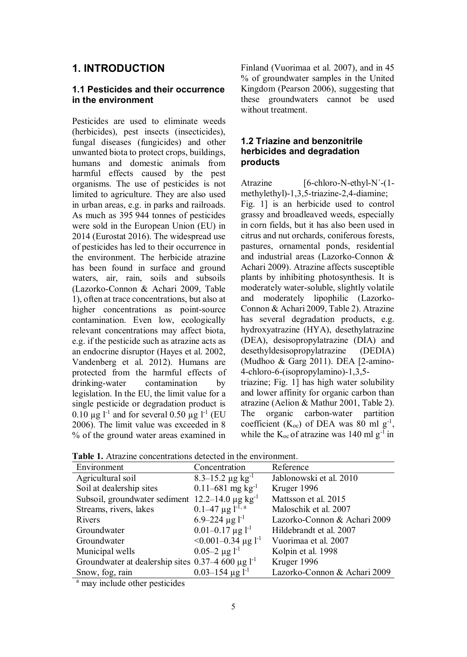# **1. INTRODUCTION**

#### **1.1 Pesticides and their occurrence in the environment**

Pesticides are used to eliminate weeds (herbicides), pest insects (insecticides), fungal diseases (fungicides) and other unwanted biota to protect crops, buildings, humans and domestic animals from harmful effects caused by the pest organisms. The use of pesticides is not limited to agriculture. They are also used in urban areas, e.g. in parks and railroads. As much as 395 944 tonnes of pesticides were sold in the European Union (EU) in 2014 (Eurostat 2016). The widespread use of pesticides has led to their occurrence in the environment. The herbicide atrazine has been found in surface and ground waters, air, rain, soils and subsoils (Lazorko-Connon & Achari 2009, Table 1), often at trace concentrations, but also at higher concentrations as point-source contamination. Even low, ecologically relevant concentrations may affect biota, e.g. if the pesticide such as atrazine acts as an endocrine disruptor (Hayes et al. 2002, Vandenberg et al. 2012). Humans are protected from the harmful effects of drinking-water contamination by legislation. In the EU, the limit value for a single pesticide or degradation product is  $0.10 \mu$ g l<sup>-1</sup> and for several 0.50 μg l<sup>-1</sup> (EU 2006). The limit value was exceeded in 8 % of the ground water areas examined in Finland (Vuorimaa et al. 2007), and in 45 % of groundwater samples in the United Kingdom (Pearson 2006), suggesting that these groundwaters cannot be used without treatment.

#### **1.2 Triazine and benzonitrile herbicides and degradation products**

Atrazine [6-chloro-N-ethyl-N'-(1methylethyl)-1,3,5-triazine-2,4-diamine; Fig. 1] is an herbicide used to control grassy and broadleaved weeds, especially in corn fields, but it has also been used in citrus and nut orchards, coniferous forests, pastures, ornamental ponds, residential and industrial areas (Lazorko-Connon & Achari 2009). Atrazine affects susceptible plants by inhibiting photosynthesis. It is moderately water-soluble, slightly volatile and moderately lipophilic (Lazorko-Connon & Achari 2009, Table 2). Atrazine has several degradation products, e.g. hydroxyatrazine (HYA), desethylatrazine (DEA), desisopropylatrazine (DIA) and desethyldesisopropylatrazine (DEDIA) (Mudhoo & Garg 2011). DEA [2-amino-4-chloro-6-(isopropylamino)-1,3,5 triazine; Fig. 1] has high water solubility

and lower affinity for organic carbon than atrazine (Aelion & Mathur 2001, Table 2). The organic carbon-water partition coefficient ( $K_{oc}$ ) of DEA was 80 ml g<sup>-1</sup>, while the  $K_{\text{oc}}$  of atrazine was 140 ml g<sup>-1</sup> in

| Environment                                              | Concentration                          | Reference                    |
|----------------------------------------------------------|----------------------------------------|------------------------------|
| Agricultural soil                                        | $8.3 - 15.2 \,\mu g \,\text{kg}^{-1}$  | Jablonowski et al. 2010      |
| Soil at dealership sites                                 | $0.11 - 681$ mg kg <sup>-1</sup>       | Kruger 1996                  |
| Subsoil, groundwater sediment $12.2-14.0 \mu g kg^{-1}$  |                                        | Mattsson et al. 2015         |
| Streams, rivers, lakes                                   | $0.1-47 \mu g l^{-1}$ .                | Maloschik et al. 2007        |
| Rivers                                                   | $6.9 - 224 \mu g l^{-1}$               | Lazorko-Connon & Achari 2009 |
| Groundwater                                              | $0.01-0.17 \,\mathrm{\mu g}\,l^{-1}$   | Hildebrandt et al. 2007      |
| Groundwater                                              | $\leq 0.001 - 0.34$ µg l <sup>-1</sup> | Vuorimaa et al. 2007         |
| Municipal wells                                          | $0.05-2 \mu g l^{-1}$                  | Kolpin et al. 1998           |
| Groundwater at dealership sites $0.37-4600 \mu g l^{-1}$ |                                        | Kruger 1996                  |
| Snow, fog, rain                                          | $0.03 - 154 \text{ µg} l^{-1}$         | Lazorko-Connon & Achari 2009 |

**Table 1.** Atrazine concentrations detected in the environment.

<sup>a</sup> may include other pesticides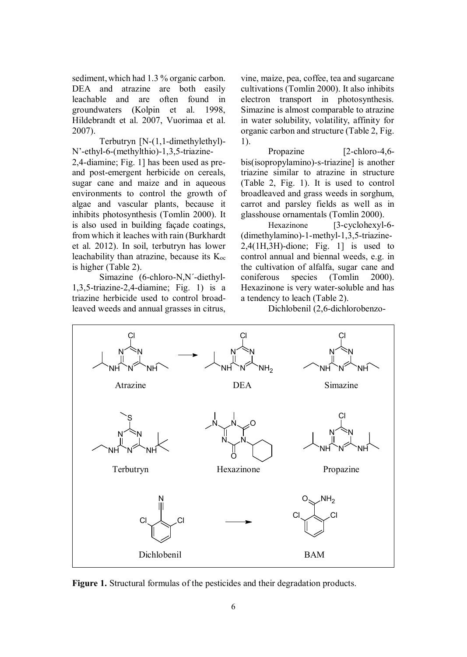sediment, which had 1.3 % organic carbon. DEA and atrazine are both easily leachable and are often found in groundwaters (Kolpin et al. 1998, Hildebrandt et al. 2007, Vuorimaa et al. 2007).

Terbutryn [N-(1,1-dimethylethyl)- N'-ethyl-6-(methylthio)-1,3,5-triazine-

2,4-diamine; Fig. 1] has been used as preand post-emergent herbicide on cereals, sugar cane and maize and in aqueous environments to control the growth of algae and vascular plants, because it inhibits photosynthesis (Tomlin 2000). It is also used in building façade coatings, from which it leaches with rain (Burkhardt et al. 2012). In soil, terbutryn has lower leachability than atrazine, because its  $K_{oc}$ is higher (Table 2).

Simazine (6-chloro-N,N´-diethyl-1,3,5-triazine-2,4-diamine; Fig. 1) is a triazine herbicide used to control broadleaved weeds and annual grasses in citrus, vine, maize, pea, coffee, tea and sugarcane cultivations (Tomlin 2000). It also inhibits electron transport in photosynthesis. Simazine is almost comparable to atrazine in water solubility, volatility, affinity for organic carbon and structure (Table 2, Fig. 1).

Propazine [2-chloro-4,6bis(isopropylamino)-s-triazine] is another triazine similar to atrazine in structure (Table 2, Fig. 1). It is used to control broadleaved and grass weeds in sorghum, carrot and parsley fields as well as in glasshouse ornamentals (Tomlin 2000).

Hexazinone [3-cyclohexyl-6-(dimethylamino)-1-methyl-1,3,5-triazine-2,4(1H,3H)-dione; Fig. 1] is used to control annual and biennal weeds, e.g. in the cultivation of alfalfa, sugar cane and coniferous species (Tomlin 2000). Hexazinone is very water-soluble and has a tendency to leach (Table 2).

Dichlobenil (2,6-dichlorobenzo-



**Figure 1.** Structural formulas of the pesticides and their degradation products.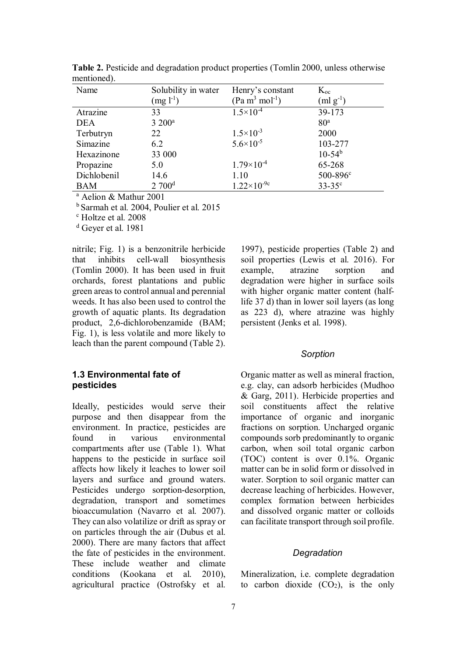| Name        | Solubility in water | Henry's constant       | $K_{oc}$          |
|-------------|---------------------|------------------------|-------------------|
|             | $(mg l^{-1})$       | $(Pa m3 mol-1)$        | $(ml g^{-1})$     |
| Atrazine    | 33                  | $1.5 \times 10^{-4}$   | 39-173            |
| <b>DEA</b>  | $3200^a$            |                        | 80 <sup>a</sup>   |
| Terbutryn   | 22                  | $1.5 \times 10^{-3}$   | 2000              |
| Simazine    | 62                  | $5.6 \times 10^{-5}$   | 103-277           |
| Hexazinone  | 33 000              |                        | $10-54^{b}$       |
| Propazine   | 5.0                 | $1.79\times10^{-4}$    | 65-268            |
| Dichlobenil | 14.6                | 1.10                   | $500 - 896$ °     |
| BAM         | 2700 <sup>d</sup>   | $1.22 \times 10^{-9c}$ | $33 - 35^{\circ}$ |

**Table 2.** Pesticide and degradation product properties (Tomlin 2000, unless otherwise mentioned).

<sup>a</sup> Aelion & Mathur 2001

<sup>b</sup> Sarmah et al. 2004, Poulier et al. 2015

c Holtze et al. 2008

<sup>d</sup> Geyer et al. 1981

nitrile; Fig. 1) is a benzonitrile herbicide that inhibits cell-wall biosynthesis (Tomlin 2000). It has been used in fruit orchards, forest plantations and public green areas to control annual and perennial weeds. It has also been used to control the growth of aquatic plants. Its degradation product, 2,6-dichlorobenzamide (BAM; Fig. 1), is less volatile and more likely to leach than the parent compound (Table 2).

#### **1.3 Environmental fate of pesticides**

Ideally, pesticides would serve their purpose and then disappear from the environment. In practice, pesticides are found in various environmental compartments after use (Table 1). What happens to the pesticide in surface soil affects how likely it leaches to lower soil layers and surface and ground waters. Pesticides undergo sorption-desorption, degradation, transport and sometimes bioaccumulation (Navarro et al. 2007). They can also volatilize or drift as spray or on particles through the air (Dubus et al. 2000). There are many factors that affect the fate of pesticides in the environment. These include weather and climate conditions (Kookana et al. 2010), agricultural practice (Ostrofsky et al.

1997), pesticide properties (Table 2) and soil properties (Lewis et al. 2016). For example, atrazine sorption and degradation were higher in surface soils with higher organic matter content (halflife 37 d) than in lower soil layers (as long as 223 d), where atrazine was highly persistent (Jenks et al. 1998).

#### *Sorption*

Organic matter as well as mineral fraction, e.g. clay, can adsorb herbicides (Mudhoo & Garg, 2011). Herbicide properties and soil constituents affect the relative importance of organic and inorganic fractions on sorption. Uncharged organic compounds sorb predominantly to organic carbon, when soil total organic carbon (TOC) content is over 0.1%. Organic matter can be in solid form or dissolved in water. Sorption to soil organic matter can decrease leaching of herbicides. However, complex formation between herbicides and dissolved organic matter or colloids can facilitate transport through soil profile.

#### *Degradation*

Mineralization, i.e. complete degradation to carbon dioxide  $(CO_2)$ , is the only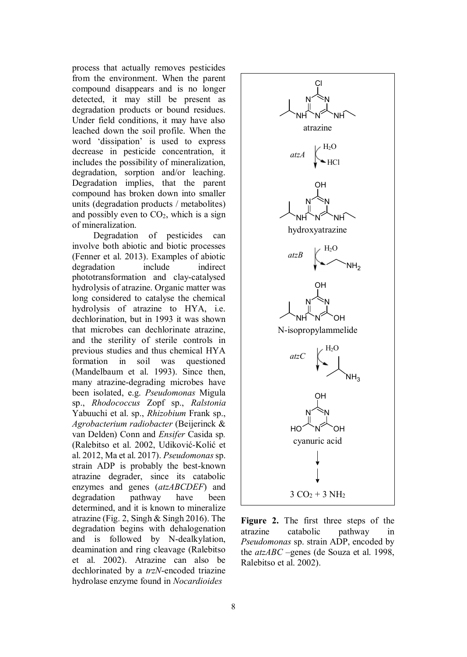process that actually removes pesticides from the environment. When the parent compound disappears and is no longer detected, it may still be present as degradation products or bound residues. Under field conditions, it may have also leached down the soil profile. When the word 'dissipation' is used to express decrease in pesticide concentration, it includes the possibility of mineralization, degradation, sorption and/or leaching. Degradation implies, that the parent compound has broken down into smaller units (degradation products / metabolites) and possibly even to  $CO<sub>2</sub>$ , which is a sign of mineralization.

Degradation of pesticides can involve both abiotic and biotic processes (Fenner et al. 2013). Examples of abiotic degradation include indirect phototransformation and clay-catalysed hydrolysis of atrazine. Organic matter was long considered to catalyse the chemical hydrolysis of atrazine to HYA, i.e. dechlorination, but in 1993 it was shown that microbes can dechlorinate atrazine, and the sterility of sterile controls in previous studies and thus chemical HYA formation in soil was questioned (Mandelbaum et al. 1993). Since then, many atrazine-degrading microbes have been isolated, e.g. *Pseudomonas* Migula sp., *Rhodococcus* Zopf sp., *Ralstonia* Yabuuchi et al. sp., *Rhizobium* Frank sp., *Agrobacterium radiobacter* (Beijerinck & van Delden) Conn and *Ensifer* Casida sp*.* (Ralebitso et al. 2002, Udiković-Kolić et al. 2012, Ma et al. 2017). *Pseudomonas* sp. strain ADP is probably the best-known atrazine degrader, since its catabolic enzymes and genes (*atzABCDEF*) and degradation pathway have been determined, and it is known to mineralize atrazine (Fig. 2, Singh & Singh 2016). The degradation begins with dehalogenation and is followed by N-dealkylation, deamination and ring cleavage (Ralebitso et al. 2002). Atrazine can also be dechlorinated by a *trzN*-encoded triazine hydrolase enzyme found in *Nocardioides*



**Figure 2.** The first three steps of the atrazine catabolic pathway in *Pseudomonas* sp. strain ADP, encoded by the *atzABC* –genes (de Souza et al. 1998, Ralebitso et al. 2002).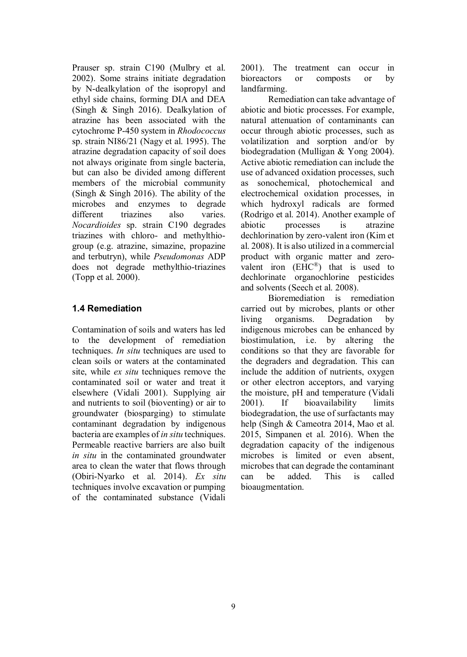Prauser sp. strain C190 (Mulbry et al. 2002). Some strains initiate degradation by N-dealkylation of the isopropyl and ethyl side chains, forming DIA and DEA (Singh & Singh 2016). Dealkylation of atrazine has been associated with the cytochrome P-450 system in *Rhodococcus* sp. strain NI86/21 (Nagy et al. 1995). The atrazine degradation capacity of soil does not always originate from single bacteria, but can also be divided among different members of the microbial community (Singh & Singh 2016). The ability of the microbes and enzymes to degrade<br>different triazines also varies. different triazines also varies *Nocardioides* sp. strain C190 degrades triazines with chloro- and methylthiogroup (e.g. atrazine, simazine, propazine and terbutryn), while *Pseudomonas* ADP does not degrade methylthio-triazines (Topp et al. 2000).

### **1.4 Remediation**

Contamination of soils and waters has led to the development of remediation techniques. *In situ* techniques are used to clean soils or waters at the contaminated site, while *ex situ* techniques remove the contaminated soil or water and treat it elsewhere (Vidali 2001). Supplying air and nutrients to soil (bioventing) or air to groundwater (biosparging) to stimulate contaminant degradation by indigenous bacteria are examples of *in situ* techniques. Permeable reactive barriers are also built *in situ* in the contaminated groundwater area to clean the water that flows through (Obiri-Nyarko et al. 2014). *Ex situ* techniques involve excavation or pumping of the contaminated substance (Vidali 2001). The treatment can occur in bioreactors or composts or by landfarming.

Remediation can take advantage of abiotic and biotic processes. For example, natural attenuation of contaminants can occur through abiotic processes, such as volatilization and sorption and/or by biodegradation (Mulligan & Yong 2004). Active abiotic remediation can include the use of advanced oxidation processes, such as sonochemical, photochemical and electrochemical oxidation processes, in which hydroxyl radicals are formed (Rodrigo et al. 2014). Another example of abiotic processes is atrazine dechlorination by zero-valent iron (Kim et al. 2008). It is also utilized in a commercial product with organic matter and zerovalent iron  $(EHC^<sup>®</sup>)$  that is used to dechlorinate organochlorine pesticides and solvents (Seech et al. 2008).

Bioremediation is remediation carried out by microbes, plants or other living organisms. Degradation by indigenous microbes can be enhanced by biostimulation, i.e. by altering the conditions so that they are favorable for the degraders and degradation. This can include the addition of nutrients, oxygen or other electron acceptors, and varying the moisture, pH and temperature (Vidali 2001). If bioavailability limits biodegradation, the use of surfactants may help (Singh & Cameotra 2014, Mao et al. 2015, Simpanen et al. 2016). When the degradation capacity of the indigenous microbes is limited or even absent, microbes that can degrade the contaminant can be added. This is called bioaugmentation.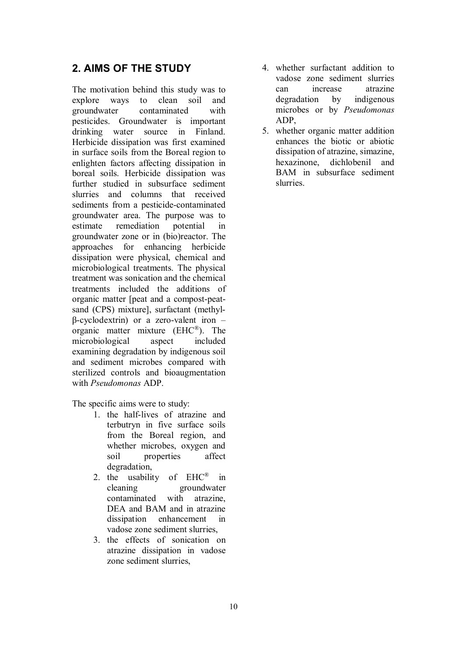# **2. AIMS OF THE STUDY**

The motivation behind this study was to explore ways to clean soil and groundwater contaminated with pesticides. Groundwater is important drinking water source in Finland. Herbicide dissipation was first examined in surface soils from the Boreal region to enlighten factors affecting dissipation in boreal soils. Herbicide dissipation was further studied in subsurface sediment slurries and columns that received sediments from a pesticide-contaminated groundwater area. The purpose was to estimate remediation potential in groundwater zone or in (bio)reactor. The approaches for enhancing herbicide dissipation were physical, chemical and microbiological treatments. The physical treatment was sonication and the chemical treatments included the additions of organic matter [peat and a compost-peatsand (CPS) mixture], surfactant (methyl- $\beta$ -cyclodextrin) or a zero-valent iron – organic matter mixture (EHC®). The microbiological aspect included examining degradation by indigenous soil and sediment microbes compared with sterilized controls and bioaugmentation with *Pseudomonas* ADP.

The specific aims were to study:

- 1. the half-lives of atrazine and terbutryn in five surface soils from the Boreal region, and whether microbes, oxygen and soil properties affect degradation,
- 2. the usability of EHC® in cleaning groundwater contaminated with atrazine, DEA and BAM and in atrazine dissipation enhancement in vadose zone sediment slurries,
- 3. the effects of sonication on atrazine dissipation in vadose zone sediment slurries,
- 4. whether surfactant addition to vadose zone sediment slurries can increase atrazine degradation by indigenous microbes or by *Pseudomonas* ADP,
- 5. whether organic matter addition enhances the biotic or abiotic dissipation of atrazine, simazine hexazinone, dichlobenil and BAM in subsurface sediment slurries.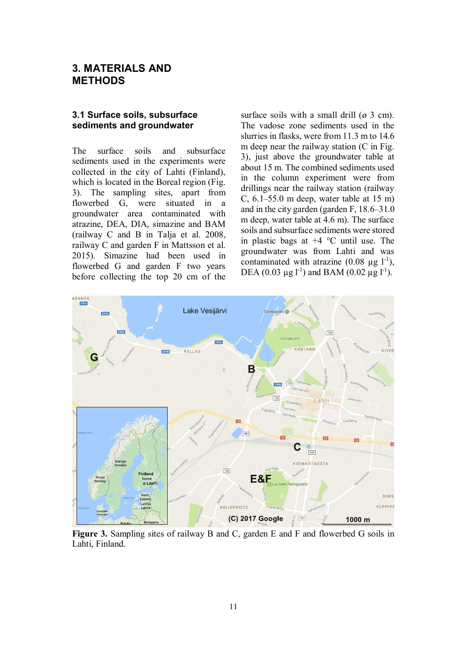## **3. MATERIALS AND METHODS**

#### **3.1 Surface soils, subsurface sediments and groundwater**

The surface soils and subsurface sediments used in the experiments were collected in the city of Lahti (Finland), which is located in the Boreal region (Fig. 3). The sampling sites, apart from flowerbed G, were situated in a groundwater area contaminated with atrazine, DEA, DIA, simazine and BAM (railway C and B in Talja et al. 2008, railway C and garden F in Mattsson et al. 2015). Simazine had been used in flowerbed G and garden F two years before collecting the top 20 cm of the surface soils with a small drill  $(\emptyset 3 \text{ cm})$ . The vadose zone sediments used in the slurries in flasks, were from 11.3 m to 14.6 m deep near the railway station (C in Fig. 3), just above the groundwater table at about 15 m. The combined sediments used in the column experiment were from drillings near the railway station (railway C, 6.1–55.0 m deep, water table at 15 m) and in the city garden (garden F, 18.6–31.0 m deep, water table at 4.6 m). The surface soils and subsurface sediments were stored in plastic bags at +4 °C until use. The groundwater was from Lahti and was contaminated with atrazine  $(0.08 \text{ µg } l^{-1})$ , DEA (0.03 μg l<sup>-1</sup>) and BAM (0.02 μg l<sup>-1</sup>).



**Figure 3.** Sampling sites of railway B and C, garden E and F and flowerbed G soils in Lahti, Finland.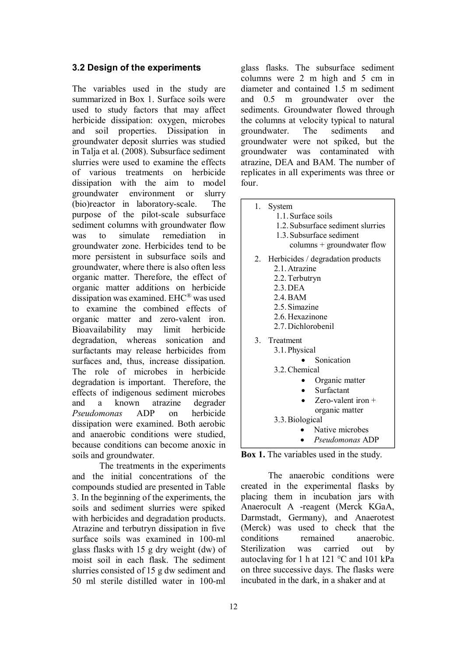#### **3.2 Design of the experiments**

The variables used in the study are summarized in Box 1. Surface soils were used to study factors that may affect herbicide dissipation: oxygen, microbes and soil properties. Dissipation in groundwater deposit slurries was studied in Talja et al. (2008). Subsurface sediment slurries were used to examine the effects of various treatments on herbicide dissipation with the aim to model groundwater environment or slurry (bio)reactor in laboratory-scale. The purpose of the pilot-scale subsurface sediment columns with groundwater flow was to simulate remediation in groundwater zone. Herbicides tend to be more persistent in subsurface soils and groundwater, where there is also often less organic matter. Therefore, the effect of organic matter additions on herbicide dissipation was examined. EHC® was used to examine the combined effects of organic matter and zero-valent iron. Bioavailability may limit herbicide degradation, whereas sonication and surfactants may release herbicides from surfaces and, thus, increase dissipation. The role of microbes in herbicide degradation is important. Therefore, the effects of indigenous sediment microbes and a known atrazine degrader *Pseudomonas* ADP on herbicide dissipation were examined. Both aerobic and anaerobic conditions were studied, because conditions can become anoxic in soils and groundwater.

The treatments in the experiments and the initial concentrations of the compounds studied are presented in Table 3. In the beginning of the experiments, the soils and sediment slurries were spiked with herbicides and degradation products. Atrazine and terbutryn dissipation in five surface soils was examined in 100-ml glass flasks with 15 g dry weight (dw) of moist soil in each flask. The sediment slurries consisted of 15 g dw sediment and 50 ml sterile distilled water in 100-ml glass flasks. The subsurface sediment columns were 2 m high and 5 cm in diameter and contained 1.5 m sediment and 0.5 m groundwater over the sediments. Groundwater flowed through the columns at velocity typical to natural<br>groundwater. The sediments and groundwater. The sediments and groundwater were not spiked, but the groundwater was contaminated with atrazine, DEA and BAM. The number of replicates in all experiments was three or four.

1. System 1.1. Surface soils 1.2. Subsurface sediment slurries 1.3. Subsurface sediment columns + groundwater flow 2. Herbicides / degradation products 2.1. Atrazine 2.2. Terbutryn 2.3. DEA 2.4. BAM 2.5. Simazine 2.6. Hexazinone 2.7. Dichlorobenil 3. Treatment 3.1. Physical • Sonication 3.2. Chemical • Organic matter Surfactant Zero-valent iron + organic matter 3.3. Biological • Native microbes *Pseudomonas* ADP

**Box 1.** The variables used in the study.

The anaerobic conditions were created in the experimental flasks by placing them in incubation jars with Anaerocult A -reagent (Merck KGaA, Darmstadt, Germany), and Anaerotest (Merck) was used to check that the conditions remained anaerobic. Sterilization was carried out by autoclaving for 1 h at 121 °C and 101 kPa on three successive days. The flasks were incubated in the dark, in a shaker and at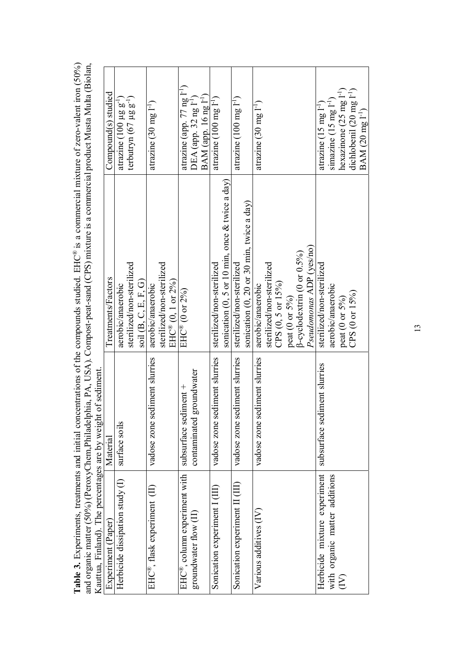| Kauttua, Finland). The percentages                  | s are by weight of sediment.  | and organic matter (50%) (PeroxyChem, Philadelphia, PA, USA). Compost-peat-sand (CPS) mixture is a commercial product Musta Multa (Biolan, |                                        |  |
|-----------------------------------------------------|-------------------------------|--------------------------------------------------------------------------------------------------------------------------------------------|----------------------------------------|--|
| Experiment (Paper)                                  | Material                      | Treatments/Factors                                                                                                                         | Compound(s) studied                    |  |
| Herbicide dissipation study (I)                     | surface soils                 | aerobic/anaerobic                                                                                                                          | atrazine $(100 \mu g g^{-1})$          |  |
|                                                     |                               | sterilized/non-sterilized                                                                                                                  | terbutryn $(67 \mu g g^{-1})$          |  |
|                                                     |                               | soil $(B, C, E, F, G)$                                                                                                                     |                                        |  |
| EHC®, flask experiment (II)                         | vadose zone sediment slurries | aerobic/anaerobic                                                                                                                          | atrazine $(30 \text{ mg } l^{-1})$     |  |
|                                                     |                               | sterilized/non-sterilized                                                                                                                  |                                        |  |
|                                                     |                               | $EHC^{\circledR}$ (0, 1 or 2%)                                                                                                             |                                        |  |
| $\mathrm{EHC}^\circledast$ , column experiment with | subsurface sediment +         | $\overline{\text{EHC}}^{\text{\textregistered}}$ (0 or 2%)                                                                                 | atrazine (app. 77 ng l <sup>-1</sup> ) |  |
| groundwater flow (II)                               | contaminated groundwater      |                                                                                                                                            | $DEA$ (app. 32 ng $I^{-1}$ )           |  |
|                                                     |                               |                                                                                                                                            | $BAM$ (app. 16 ng $I^{-1}$ )           |  |
| Sonication experiment 1 (III)                       | vadose zone sediment slurries | sterilized/non-sterilized                                                                                                                  | atrazine $(100 \text{ mg } 1^{-1})$    |  |
|                                                     |                               | sonication $(0, 5 \text{ or } 10 \text{ min}, \text{ once } \& \text{ twice a day})$                                                       |                                        |  |
| Sonication experiment II (III)                      | vadose zone sediment slurries | sterilized/non-sterilized                                                                                                                  | atrazine $(100 \text{ mg l}^{-1})$     |  |
|                                                     |                               | sonication $(0, 20$ or 30 min, twice a day)                                                                                                |                                        |  |
| Various additives (IV)                              | vadose zone sediment slurries | aerobic/anaerobic                                                                                                                          | atrazine $(30 \text{ mg l}^{-1})$      |  |
|                                                     |                               | sterilized/non-sterilized                                                                                                                  |                                        |  |
|                                                     |                               | CPS (0, 5 or 15%)                                                                                                                          |                                        |  |
|                                                     |                               | peat (0 or 5%)                                                                                                                             |                                        |  |
|                                                     |                               | $\beta$ -cyclodextrin (0 or 0.5%)                                                                                                          |                                        |  |
|                                                     |                               | Pseudomonas ADP (yes/no)                                                                                                                   |                                        |  |
| Herbicide mixture experiment                        | subsurface sediment slurries  | sterilized/non-sterilized                                                                                                                  | atrazine $(15 \text{ mg l}^{-1})$      |  |
| with organic matter additions                       |                               | aerobic/anaerobic                                                                                                                          | simazine $(15 \text{ mg } l^{-1})$     |  |
| $\sum_{i=1}^{n}$                                    |                               | peat ( $0$ or $5\%$ )                                                                                                                      | hexazinone $(25 \text{ mg } l^{-1})$   |  |
|                                                     |                               | CPS (0 or 15%)                                                                                                                             | dichlobenil (20 mg 1 <sup>-1</sup> )   |  |
|                                                     |                               |                                                                                                                                            | BAM (20 mg 1 <sup>-1</sup> )           |  |

Table 3. Experiments, treatments and initial concentrations of the compounds studied. EHC® is a commercial mixture of zero-valent iron (50%) **Table 3.** Experiments, treatments and initial concentrations of the compounds studied. EHC® is a commercial mixture of zero-valent iron (50%)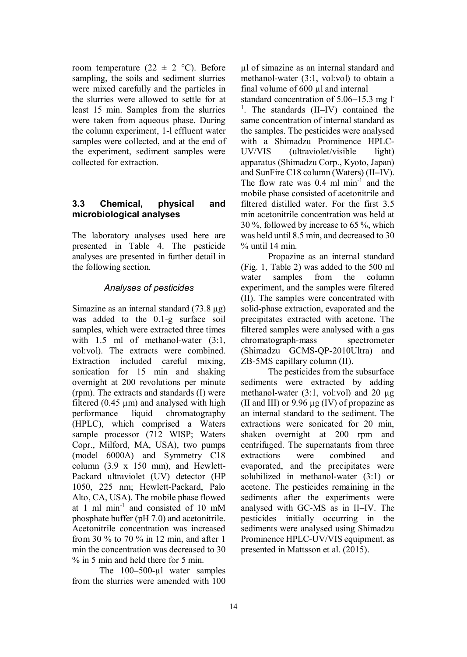room temperature (22  $\pm$  2 °C). Before sampling, the soils and sediment slurries were mixed carefully and the particles in the slurries were allowed to settle for at least 15 min. Samples from the slurries were taken from aqueous phase. During the column experiment, 1-l effluent water samples were collected, and at the end of the experiment, sediment samples were collected for extraction.

### **3.3 Chemical, physical and microbiological analyses**

The laboratory analyses used here are presented in Table 4. The pesticide analyses are presented in further detail in the following section.

### *Analyses of pesticides*

Simazine as an internal standard (73.8 μg) was added to the 0.1-g surface soil samples, which were extracted three times with 1.5 ml of methanol-water  $(3:1, 1)$ vol:vol). The extracts were combined. Extraction included careful mixing, sonication for 15 min and shaking overnight at 200 revolutions per minute (rpm). The extracts and standards (I) were filtered  $(0.45 \mu m)$  and analysed with high performance liquid chromatography (HPLC), which comprised a Waters sample processor (712 WISP; Waters Copr., Milford, MA, USA), two pumps (model 6000A) and Symmetry C18 column (3.9 x 150 mm), and Hewlett-Packard ultraviolet (UV) detector (HP 1050, 225 nm; Hewlett-Packard, Palo Alto, CA, USA). The mobile phase flowed at 1 ml min-1 and consisted of 10 mM phosphate buffer (pH 7.0) and acetonitrile. Acetonitrile concentration was increased from 30 % to 70 % in 12 min, and after 1 min the concentration was decreased to 30 % in 5 min and held there for 5 min.

The 100–500-μl water samples from the slurries were amended with 100 μl of simazine as an internal standard and methanol-water (3:1, vol:vol) to obtain a final volume of 600 μl and internal

standard concentration of 5.06–15.3 mg l-1 . The standards (II–IV) contained the same concentration of internal standard as the samples. The pesticides were analysed with a Shimadzu Prominence HPLC-UV/VIS (ultraviolet/visible light) apparatus (Shimadzu Corp., Kyoto, Japan) and SunFire C18 column (Waters) (II–IV). The flow rate was  $0.4$  ml min<sup>-1</sup> and the mobile phase consisted of acetonitrile and filtered distilled water. For the first 3.5 min acetonitrile concentration was held at 30 %, followed by increase to 65 %, which was held until 8.5 min, and decreased to 30  $%$  until 14 min.

Propazine as an internal standard (Fig. 1, Table 2) was added to the 500 ml water samples from the column experiment, and the samples were filtered (II). The samples were concentrated with solid-phase extraction, evaporated and the precipitates extracted with acetone. The filtered samples were analysed with a gas chromatograph-mass spectrometer (Shimadzu GCMS-QP-2010Ultra) and ZB-5MS capillary column (II).

The pesticides from the subsurface sediments were extracted by adding methanol-water (3:1, vol:vol) and 20 μg (II and III) or  $9.96 \mu$ g (IV) of propazine as an internal standard to the sediment. The extractions were sonicated for 20 min, shaken overnight at 200 rpm and centrifuged. The supernatants from three extractions were combined and evaporated, and the precipitates were solubilized in methanol-water (3:1) or acetone. The pesticides remaining in the sediments after the experiments were analysed with GC-MS as in II–IV. The pesticides initially occurring in the sediments were analysed using Shimadzu Prominence HPLC-UV/VIS equipment, as presented in Mattsson et al. (2015).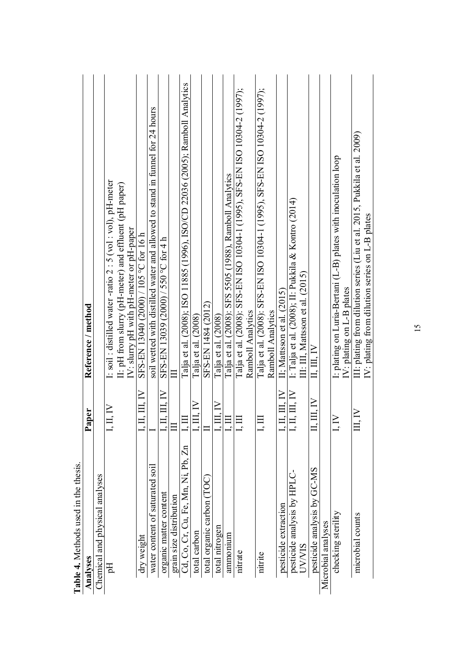| hesis.<br>Table 4. Methods used in the th |                                      |                                                                                                                            |
|-------------------------------------------|--------------------------------------|----------------------------------------------------------------------------------------------------------------------------|
| Analyses                                  | Paper                                | Reference / method                                                                                                         |
| Chemical and physical analyses            |                                      |                                                                                                                            |
| Hq                                        | I, II, IV                            | I: soil : distilled water -ratio 2 : 5 (vol : vol), pH-meter                                                               |
|                                           |                                      | II: pH from slurry (pH-meter) and effluent (pH paper)                                                                      |
|                                           |                                      | IV: slurry pH with pH-meter or pH-paper                                                                                    |
| dry weight                                | . III. IV                            | SFS-EN 13040 (2000) / 105 °C for 16 h                                                                                      |
| soil<br>water content of saturated        |                                      | soil wetted with distilled water and allowed to stand in funnel for 24 hours                                               |
| organic matter content                    | $1.11$ $\rm{III}$ $\rm{IV}$          | SFS-EN 13039 (2000) / 550 °C for 4 h                                                                                       |
| grain size distribution                   |                                      |                                                                                                                            |
| Cd, Co, Cr, Cu, Fe, Mn, Ni, Pb, Zn        | ЦЦ                                   | Talja et al. (2008); ISO 11885 (1996), ISO/CD 22036 (2005); Ramboll Analytics                                              |
| total carbon                              | $\mathbb{I}, \mathbb{H}, \mathbb{N}$ | Talja et al. (2008)                                                                                                        |
| total organic carbon (TO                  |                                      | SFS-EN 1484 (2012)                                                                                                         |
| total nitrogen                            | I, III, IV                           | Talja et al. (2008)                                                                                                        |
| ammonium                                  | E                                    | Talja et al. (2008): SFS 5505 (1988), Ramboll Analytics                                                                    |
| nitrate                                   | I, III                               | Talja et al. (2008): SFS-EN ISO 10304-1 (1995), SFS-EN ISO 10304-2 (1997);                                                 |
|                                           |                                      | Ramboll Analytics                                                                                                          |
| nitrite                                   | Ę                                    | Talja et al. (2008): SFS-EN ISO 10304-1 (1995), SFS-EN ISO 10304-2 (1997);                                                 |
|                                           |                                      | Ramboll Analytics                                                                                                          |
| pesticide extraction                      | $\overline{\mathbb{H}}$ in           | II; Mattsson et al. (2015)                                                                                                 |
| Ų<br>pesticide analysis by HPL            | I, II, III, IV                       | I: Talja et al. (2008); II: Pukkila & Kontro (2014)                                                                        |
| <b>UVVVIS</b>                             |                                      | III: III, Mattsson et al. $(2015)$                                                                                         |
| pesticide analysis by GC-MS               | II, III, IV                          | $\rm II, III, IV$                                                                                                          |
| Microbial analyses                        |                                      |                                                                                                                            |
| checking sterility                        | $\sum_{i=1}^{n}$                     | I: plating on Luria-Bertani (L-B) plates with inoculation loop                                                             |
|                                           |                                      | IV: plating on $L$ -B plates                                                                                               |
| microbial counts                          | $\mathbb{H}, \mathbb{N}$             | III: plating from dilution series (Liu et al. 2015, Pukkila et al. 2009)<br>IV: plating from dilution series on L-B plates |
|                                           |                                      |                                                                                                                            |

15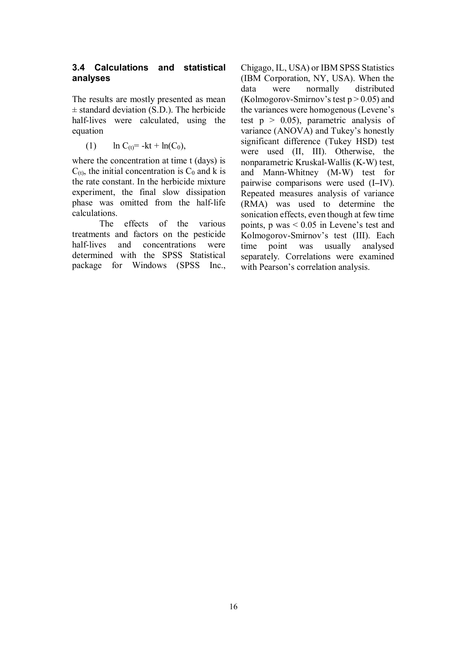#### **3.4 Calculations and statistical analyses**

The results are mostly presented as mean  $\pm$  standard deviation (S.D.). The herbicide half-lives were calculated, using the equation

(1)  $\ln C_{(t)} = -kt + \ln(C_0)$ ,

where the concentration at time t (days) is  $C_{(t)}$ , the initial concentration is  $C_0$  and k is the rate constant. In the herbicide mixture experiment, the final slow dissipation phase was omitted from the half-life calculations.

The effects of the various treatments and factors on the pesticide half-lives and concentrations were determined with the SPSS Statistical package for Windows (SPSS Inc.,

Chigago, IL, USA) or IBM SPSS Statistics (IBM Corporation, NY, USA). When the data were normally distributed (Kolmogorov-Smirnov's test  $p > 0.05$ ) and the variances were homogenous (Levene's test  $p > 0.05$ ), parametric analysis of variance (ANOVA) and Tukey's honestly significant difference (Tukey HSD) test were used (II, III). Otherwise, the nonparametric Kruskal-Wallis (K-W) test, and Mann-Whitney (M-W) test for pairwise comparisons were used (I–IV). Repeated measures analysis of variance (RMA) was used to determine the sonication effects, even though at few time points, p was < 0.05 in Levene's test and Kolmogorov-Smirnov's test (III). Each time point was usually analysed separately. Correlations were examined with Pearson's correlation analysis.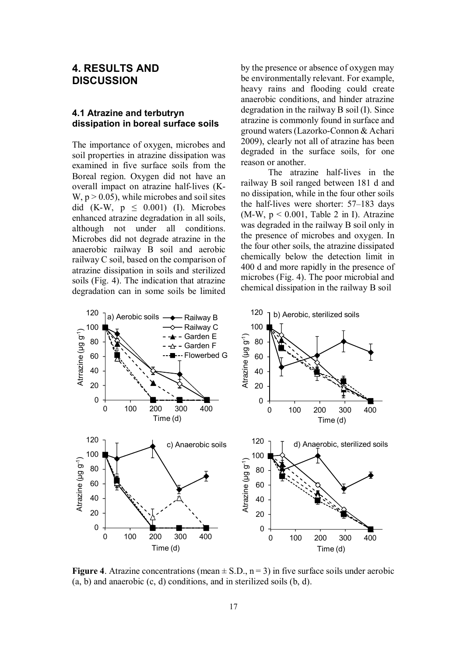## **4. RESULTS AND DISCUSSION**

#### **4.1 Atrazine and terbutryn dissipation in boreal surface soils**

The importance of oxygen, microbes and soil properties in atrazine dissipation was examined in five surface soils from the Boreal region. Oxygen did not have an overall impact on atrazine half-lives (K- $W, p > 0.05$ , while microbes and soil sites did (K-W,  $p \leq 0.001$ ) (I). Microbes enhanced atrazine degradation in all soils, although not under all conditions. Microbes did not degrade atrazine in the anaerobic railway B soil and aerobic railway C soil, based on the comparison of atrazine dissipation in soils and sterilized soils (Fig. 4). The indication that atrazine degradation can in some soils be limited by the presence or absence of oxygen may be environmentally relevant. For example, heavy rains and flooding could create anaerobic conditions, and hinder atrazine degradation in the railway B soil (I). Since atrazine is commonly found in surface and ground waters (Lazorko-Connon & Achari 2009), clearly not all of atrazine has been degraded in the surface soils, for one reason or another.

The atrazine half-lives in the railway B soil ranged between 181 d and no dissipation, while in the four other soils the half-lives were shorter: 57–183 days (M-W,  $p \le 0.001$ , Table 2 in I). Atrazine was degraded in the railway B soil only in the presence of microbes and oxygen. In the four other soils, the atrazine dissipated chemically below the detection limit in 400 d and more rapidly in the presence of microbes (Fig. 4). The poor microbial and chemical dissipation in the railway B soil



**Figure 4.** Atrazine concentrations (mean  $\pm$  S.D., n = 3) in five surface soils under aerobic (a, b) and anaerobic (c, d) conditions, and in sterilized soils (b, d).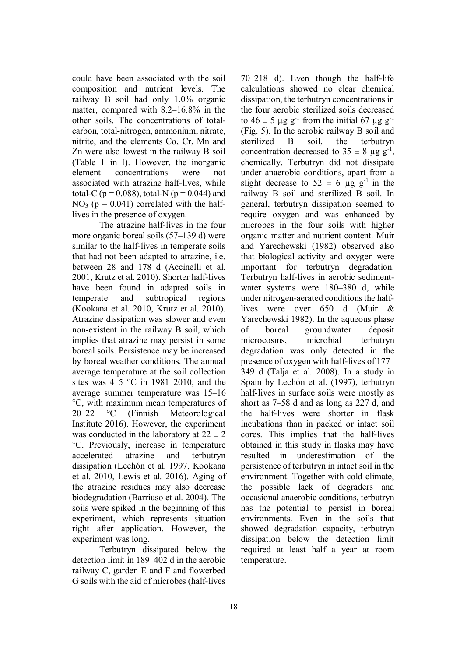could have been associated with the soil composition and nutrient levels. The railway B soil had only 1.0% organic matter, compared with 8.2–16.8% in the other soils. The concentrations of totalcarbon, total-nitrogen, ammonium, nitrate, nitrite, and the elements Co, Cr, Mn and Zn were also lowest in the railway B soil (Table 1 in I). However, the inorganic element concentrations were not associated with atrazine half-lives, while total-C ( $p = 0.088$ ), total-N ( $p = 0.044$ ) and  $NO<sub>3</sub>$  ( $p = 0.041$ ) correlated with the halflives in the presence of oxygen.

The atrazine half-lives in the four more organic boreal soils (57–139 d) were similar to the half-lives in temperate soils that had not been adapted to atrazine, i.e. between 28 and 178 d (Accinelli et al. 2001, Krutz et al. 2010). Shorter half-lives have been found in adapted soils in temperate and subtropical regions (Kookana et al. 2010, Krutz et al. 2010). Atrazine dissipation was slower and even non-existent in the railway B soil, which implies that atrazine may persist in some boreal soils. Persistence may be increased by boreal weather conditions. The annual average temperature at the soil collection sites was  $4-5$  °C in 1981–2010, and the average summer temperature was 15–16 °C, with maximum mean temperatures of 20–22 °C (Finnish Meteorological Institute 2016). However, the experiment was conducted in the laboratory at  $22 \pm 2$ °C. Previously, increase in temperature accelerated atrazine and terbutryn dissipation (Lechón et al. 1997, Kookana et al. 2010, Lewis et al. 2016). Aging of the atrazine residues may also decrease biodegradation (Barriuso et al. 2004). The soils were spiked in the beginning of this experiment, which represents situation right after application. However, the experiment was long.

Terbutryn dissipated below the detection limit in 189–402 d in the aerobic railway C, garden E and F and flowerbed G soils with the aid of microbes (half-lives 70–218 d). Even though the half-life calculations showed no clear chemical dissipation, the terbutryn concentrations in the four aerobic sterilized soils decreased to  $46 \pm 5$  μg g<sup>-1</sup> from the initial 67 μg g<sup>-1</sup> (Fig. 5). In the aerobic railway B soil and sterilized B soil, the terbutryn concentration decreased to  $35 \pm 8$  µg g<sup>-1</sup>, chemically. Terbutryn did not dissipate under anaerobic conditions, apart from a slight decrease to  $52 \pm 6$  µg g<sup>-1</sup> in the railway B soil and sterilized B soil. In general, terbutryn dissipation seemed to require oxygen and was enhanced by microbes in the four soils with higher organic matter and nutrient content. Muir and Yarechewski (1982) observed also that biological activity and oxygen were important for terbutryn degradation. Terbutryn half-lives in aerobic sedimentwater systems were 180–380 d, while under nitrogen-aerated conditions the halflives were over 650 d (Muir & Yarechewski 1982). In the aqueous phase of boreal groundwater deposit microcosms, microbial terbutryn degradation was only detected in the presence of oxygen with half-lives of 177– 349 d (Talja et al. 2008). In a study in Spain by Lechón et al. (1997), terbutryn half-lives in surface soils were mostly as short as 7–58 d and as long as 227 d, and the half-lives were shorter in flask incubations than in packed or intact soil cores. This implies that the half-lives obtained in this study in flasks may have resulted in underestimation of the persistence of terbutryn in intact soil in the environment. Together with cold climate, the possible lack of degraders and occasional anaerobic conditions, terbutryn has the potential to persist in boreal environments. Even in the soils that showed degradation capacity, terbutryn dissipation below the detection limit required at least half a year at room temperature.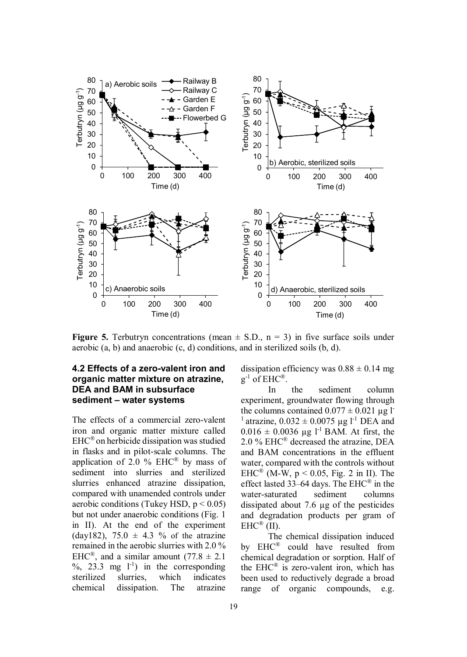

**Figure 5.** Terbutryn concentrations (mean  $\pm$  S.D., n = 3) in five surface soils under aerobic (a, b) and anaerobic (c, d) conditions, and in sterilized soils (b, d).

#### **4.2 Effects of a zero-valent iron and organic matter mixture on atrazine, DEA and BAM in subsurface sediment – water systems**

The effects of a commercial zero-valent iron and organic matter mixture called EHC® on herbicide dissipation was studied in flasks and in pilot-scale columns. The application of 2.0  $\%$  EHC<sup>®</sup> by mass of sediment into slurries and sterilized slurries enhanced atrazine dissipation, compared with unamended controls under aerobic conditions (Tukey HSD,  $p < 0.05$ ) but not under anaerobic conditions (Fig. 1 in II). At the end of the experiment (day182), 75.0  $\pm$  4.3 % of the atrazine remained in the aerobic slurries with 2.0 % EHC<sup>®</sup>, and a similar amount  $(77.8 \pm 2.1)$  $\%$ , 23.3 mg  $1^{-1}$ ) in the corresponding sterilized slurries, which indicates chemical dissipation. The atrazine dissipation efficiency was  $0.88 \pm 0.14$  mg  $g^{-1}$  of EHC®.

In the sediment column experiment, groundwater flowing through the columns contained  $0.077 \pm 0.021$  μg l<sup>-</sup> <sup>1</sup> atrazine,  $0.032 \pm 0.0075$  μg l<sup>-1</sup> DEA and  $0.016 \pm 0.0036$  μg l<sup>-1</sup> BAM. At first, the 2.0 % EHC® decreased the atrazine, DEA and BAM concentrations in the effluent water, compared with the controls without EHC<sup>®</sup> (M-W,  $p < 0.05$ , Fig. 2 in II). The effect lasted 33–64 days. The EHC® in the water-saturated sediment columns dissipated about 7.6 μg of the pesticides and degradation products per gram of  $EHC^{\circledR}$  (II).

The chemical dissipation induced by EHC® could have resulted from chemical degradation or sorption. Half of the  $EHC^{\otimes}$  is zero-valent iron, which has been used to reductively degrade a broad range of organic compounds, e.g.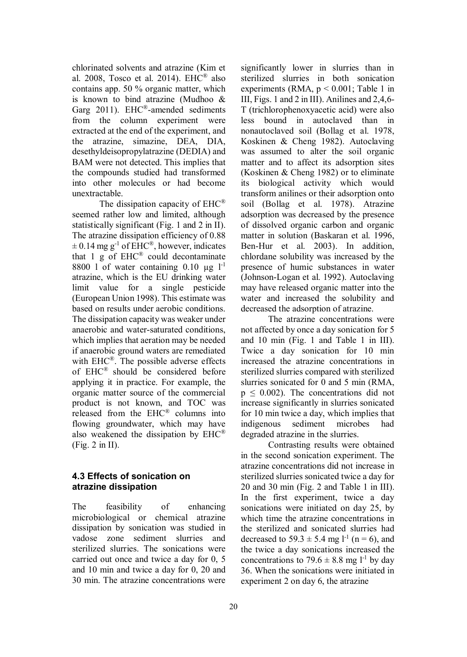chlorinated solvents and atrazine (Kim et al. 2008, Tosco et al. 2014). EHC<sup>®</sup> also contains app. 50 % organic matter, which is known to bind atrazine (Mudhoo & Garg 2011). EHC®-amended sediments from the column experiment were extracted at the end of the experiment, and the atrazine, simazine, DEA, DIA, desethyldeisopropylatrazine (DEDIA) and BAM were not detected. This implies that the compounds studied had transformed into other molecules or had become unextractable.

The dissipation capacity of EHC® seemed rather low and limited, although statistically significant (Fig. 1 and 2 in II). The atrazine dissipation efficiency of 0.88  $\pm$  0.14 mg g<sup>-1</sup> of EHC<sup>®</sup>, however, indicates that 1  $\angle$  g of EHC<sup>®</sup> could decontaminate 8800 l of water containing 0.10 μg  $1^{-1}$ atrazine, which is the EU drinking water limit value for a single pesticide (European Union 1998). This estimate was based on results under aerobic conditions. The dissipation capacity was weaker under anaerobic and water-saturated conditions, which implies that aeration may be needed if anaerobic ground waters are remediated with EHC®. The possible adverse effects of EHC® should be considered before applying it in practice. For example, the organic matter source of the commercial product is not known, and TOC was released from the EHC® columns into flowing groundwater, which may have also weakened the dissipation by EHC® (Fig. 2 in II).

#### **4.3 Effects of sonication on atrazine dissipation**

The feasibility of enhancing microbiological or chemical atrazine dissipation by sonication was studied in vadose zone sediment slurries and sterilized slurries. The sonications were carried out once and twice a day for 0, 5 and 10 min and twice a day for 0, 20 and 30 min. The atrazine concentrations were significantly lower in slurries than in sterilized slurries in both sonication experiments (RMA,  $p < 0.001$ ; Table 1 in III, Figs. 1 and 2 in III). Anilines and 2,4,6- T (trichlorophenoxyacetic acid) were also less bound in autoclaved than in nonautoclaved soil (Bollag et al. 1978, Koskinen & Cheng 1982). Autoclaving was assumed to alter the soil organic matter and to affect its adsorption sites (Koskinen & Cheng 1982) or to eliminate its biological activity which would transform anilines or their adsorption onto soil (Bollag et al. 1978). Atrazine adsorption was decreased by the presence of dissolved organic carbon and organic matter in solution (Baskaran et al. 1996, Ben-Hur et al. 2003). In addition, chlordane solubility was increased by the presence of humic substances in water (Johnson-Logan et al. 1992). Autoclaving may have released organic matter into the water and increased the solubility and decreased the adsorption of atrazine.

The atrazine concentrations were not affected by once a day sonication for 5 and 10 min (Fig. 1 and Table 1 in III). Twice a day sonication for 10 min increased the atrazine concentrations in sterilized slurries compared with sterilized slurries sonicated for 0 and 5 min (RMA,  $p \leq 0.002$ ). The concentrations did not increase significantly in slurries sonicated for 10 min twice a day, which implies that indigenous sediment microbes had degraded atrazine in the slurries.

Contrasting results were obtained in the second sonication experiment. The atrazine concentrations did not increase in sterilized slurries sonicated twice a day for 20 and 30 min (Fig. 2 and Table 1 in III). In the first experiment, twice a day sonications were initiated on day 25, by which time the atrazine concentrations in the sterilized and sonicated slurries had decreased to  $59.3 \pm 5.4$  mg l<sup>-1</sup> (n = 6), and the twice a day sonications increased the concentrations to 79.6  $\pm$  8.8 mg l<sup>-1</sup> by day 36. When the sonications were initiated in experiment 2 on day 6, the atrazine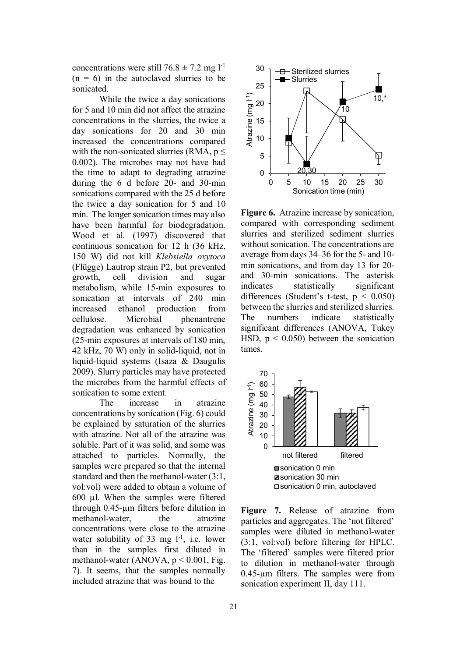concentrations were still  $76.8 \pm 7.2$  mg l<sup>-1</sup>  $(n = 6)$  in the autoclaved slurries to be sonicated.

While the twice a day sonications for 5 and 10 min did not affect the atrazine concentrations in the slurries, the twice a day sonications for 20 and 30 min increased the concentrations compared with the non-sonicated slurries (RMA,  $p \leq$ 0.002). The microbes may not have had the time to adapt to degrading atrazine during the 6 d before 20- and 30-min sonications compared with the 25 d before the twice a day sonication for 5 and 10 min. The longer sonication times may also have been harmful for biodegradation. Wood et al. (1997) discovered that continuous sonication for 12 h (36 kHz, 150 W) did not kill *Klebsiella oxytoca* (Flügge) Lautrop strain P2, but prevented growth, cell division and sugar metabolism, while 15-min exposures to sonication at intervals of 240 min increased ethanol production from cellulose. Microbial phenantrene degradation was enhanced by sonication (25-min exposures at intervals of 180 min, 42 kHz, 70 W) only in solid-liquid, not in liquid-liquid systems (Isaza & Daugulis 2009). Slurry particles may have protected the microbes from the harmful effects of sonication to some extent.

The increase in atrazine concentrations by sonication (Fig. 6) could be explained by saturation of the slurries with atrazine. Not all of the atrazine was soluble. Part of it was solid, and some was attached to particles. Normally, the samples were prepared so that the internal standard and then the methanol-water (3:1, vol:vol) were added to obtain a volume of 600 μl. When the samples were filtered through 0.45-μm filters before dilution in methanol-water, the atrazine concentrations were close to the atrazine water solubility of 33 mg  $1^{-1}$ , i.e. lower than in the samples first diluted in methanol-water (ANOVA,  $p \le 0.001$ , Fig. 7). It seems, that the samples normally included atrazine that was bound to the



**Figure 6.** Atrazine increase by sonication, compared with corresponding sediment slurries and sterilized sediment slurries without sonication. The concentrations are average from days 34–36 for the 5- and 10 min sonications, and from day 13 for 20 and 30-min sonications. The asterisk indicates statistically significant differences (Student's t-test,  $p < 0.050$ ) between the slurries and sterilized slurries. The numbers indicate statistically significant differences (ANOVA, Tukey HSD,  $p \le 0.050$ ) between the sonication times.



**Figure 7.** Release of atrazine from particles and aggregates. The 'not filtered' samples were diluted in methanol-water (3:1, vol:vol) before filtering for HPLC. The 'filtered' samples were filtered prior to dilution in methanol-water through 0.45-μm filters. The samples were from sonication experiment II, day 111.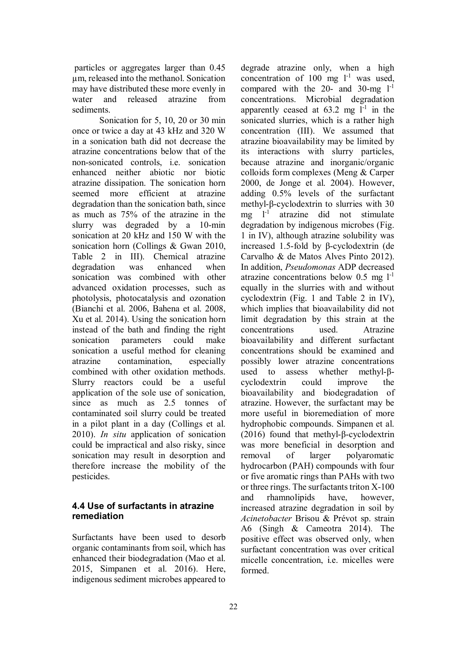particles or aggregates larger than 0.45 μm, released into the methanol. Sonication may have distributed these more evenly in water and released atrazine from sediments.

Sonication for 5, 10, 20 or 30 min once or twice a day at 43 kHz and 320 W in a sonication bath did not decrease the atrazine concentrations below that of the non-sonicated controls, i.e. sonication enhanced neither abiotic nor biotic atrazine dissipation. The sonication horn seemed more efficient at atrazine degradation than the sonication bath, since as much as 75% of the atrazine in the slurry was degraded by a 10-min sonication at 20 kHz and 150 W with the sonication horn (Collings & Gwan 2010, Table 2 in III). Chemical atrazine degradation was enhanced when sonication was combined with other advanced oxidation processes, such as photolysis, photocatalysis and ozonation (Bianchi et al. 2006, Bahena et al. 2008, Xu et al. 2014). Using the sonication horn instead of the bath and finding the right sonication parameters could make sonication a useful method for cleaning atrazine contamination, especially combined with other oxidation methods. Slurry reactors could be a useful application of the sole use of sonication, since as much as 2.5 tonnes of contaminated soil slurry could be treated in a pilot plant in a day (Collings et al. 2010). *In situ* application of sonication could be impractical and also risky, since sonication may result in desorption and therefore increase the mobility of the pesticides.

# **4.4 Use of surfactants in atrazine remediation**

Surfactants have been used to desorb organic contaminants from soil, which has enhanced their biodegradation (Mao et al. 2015, Simpanen et al. 2016). Here, indigenous sediment microbes appeared to degrade atrazine only, when a high concentration of  $100$  mg  $l^{-1}$  was used, compared with the  $20$ - and  $30$ -mg  $1^{-1}$ concentrations. Microbial degradation apparently ceased at  $63.2$  mg  $1^{-1}$  in the sonicated slurries, which is a rather high concentration (III). We assumed that atrazine bioavailability may be limited by its interactions with slurry particles, because atrazine and inorganic/organic colloids form complexes (Meng & Carper 2000, de Jonge et al. 2004). However, adding 0.5% levels of the surfactant methyl- $\beta$ -cyclodextrin to slurries with 30 mg  $1<sup>-1</sup>$  atrazine did not stimulate degradation by indigenous microbes (Fig. 1 in IV), although atrazine solubility was increased 1.5-fold by  $\beta$ -cyclodextrin (de Carvalho & de Matos Alves Pinto 2012). In addition, *Pseudomonas* ADP decreased atrazine concentrations below  $0.5 \text{ mg } 1^{-1}$ equally in the slurries with and without cyclodextrin (Fig. 1 and Table 2 in IV), which implies that bioavailability did not limit degradation by this strain at the concentrations used. Atrazine bioavailability and different surfactant concentrations should be examined and possibly lower atrazine concentrations used to assess whether methyl- $\beta$ cyclodextrin could improve the bioavailability and biodegradation of atrazine. However, the surfactant may be more useful in bioremediation of more hydrophobic compounds. Simpanen et al. (2016) found that methyl- $\beta$ -cyclodextrin was more beneficial in desorption and removal of larger polyaromatic hydrocarbon (PAH) compounds with four or five aromatic rings than PAHs with two or three rings. The surfactants triton X-100 and rhamnolipids have, however, increased atrazine degradation in soil by *Acinetobacter* Brisou & Prévot sp. strain A6 (Singh & Cameotra 2014). The positive effect was observed only, when surfactant concentration was over critical micelle concentration, i.e. micelles were formed.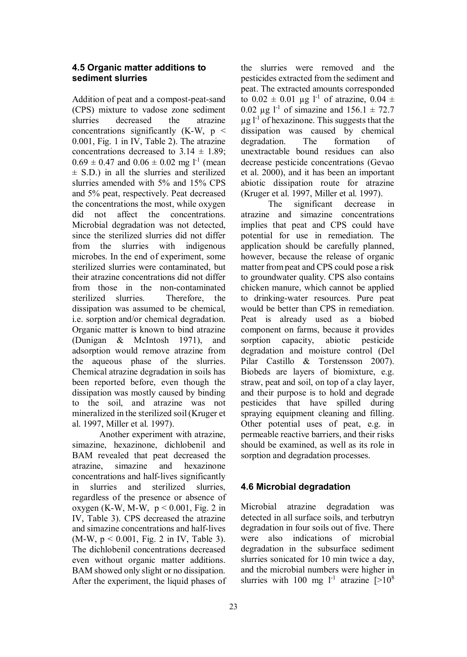#### **4.5 Organic matter additions to sediment slurries**

Addition of peat and a compost-peat-sand (CPS) mixture to vadose zone sediment slurries decreased the atrazine concentrations significantly  $(K-W, p <$ 0.001, Fig. 1 in IV, Table 2). The atrazine concentrations decreased to  $3.14 \pm 1.89$ ;  $0.69 \pm 0.47$  and  $0.06 \pm 0.02$  mg l<sup>-1</sup> (mean  $\pm$  S.D.) in all the slurries and sterilized slurries amended with 5% and 15% CPS and 5% peat, respectively. Peat decreased the concentrations the most, while oxygen did not affect the concentrations. Microbial degradation was not detected, since the sterilized slurries did not differ from the slurries with indigenous microbes. In the end of experiment, some sterilized slurries were contaminated, but their atrazine concentrations did not differ from those in the non-contaminated sterilized slurries. Therefore, the dissipation was assumed to be chemical, i.e. sorption and/or chemical degradation. Organic matter is known to bind atrazine (Dunigan & McIntosh 1971), and adsorption would remove atrazine from the aqueous phase of the slurries. Chemical atrazine degradation in soils has been reported before, even though the dissipation was mostly caused by binding to the soil, and atrazine was not mineralized in the sterilized soil (Kruger et al. 1997, Miller et al. 1997).

Another experiment with atrazine, simazine, hexazinone, dichlobenil and BAM revealed that peat decreased the atrazine, simazine and hexazinone concentrations and half-lives significantly in slurries and sterilized slurries, regardless of the presence or absence of oxygen (K-W, M-W,  $p \le 0.001$ , Fig. 2 in IV, Table 3). CPS decreased the atrazine and simazine concentrations and half-lives (M-W,  $p < 0.001$ , Fig. 2 in IV, Table 3). The dichlobenil concentrations decreased even without organic matter additions. BAM showed only slight or no dissipation. After the experiment, the liquid phases of the slurries were removed and the pesticides extracted from the sediment and peat. The extracted amounts corresponded to  $0.02 \pm 0.01$  μg l<sup>-1</sup> of atrazine,  $0.04 \pm$ 0.02 μg l<sup>-1</sup> of simazine and  $156.1 \pm 72.7$  $\mu$ g l<sup>-1</sup> of hexazinone. This suggests that the dissipation was caused by chemical degradation. The formation of unextractable bound residues can also decrease pesticide concentrations (Gevao et al. 2000), and it has been an important abiotic dissipation route for atrazine (Kruger et al. 1997, Miller et al. 1997).

The significant decrease in atrazine and simazine concentrations implies that peat and CPS could have potential for use in remediation. The application should be carefully planned, however, because the release of organic matter from peat and CPS could pose a risk to groundwater quality. CPS also contains chicken manure, which cannot be applied to drinking-water resources. Pure peat would be better than CPS in remediation. Peat is already used as a biobed component on farms, because it provides sorption capacity, abiotic pesticide degradation and moisture control (Del Pilar Castillo & Torstensson 2007). Biobeds are layers of biomixture, e.g. straw, peat and soil, on top of a clay layer, and their purpose is to hold and degrade pesticides that have spilled during spraying equipment cleaning and filling. Other potential uses of peat, e.g. in permeable reactive barriers, and their risks should be examined, as well as its role in sorption and degradation processes.

#### **4.6 Microbial degradation**

Microbial atrazine degradation was detected in all surface soils, and terbutryn degradation in four soils out of five. There were also indications of microbial degradation in the subsurface sediment slurries sonicated for 10 min twice a day, and the microbial numbers were higher in slurries with 100 mg  $1^{-1}$  atrazine  $[>10^8]$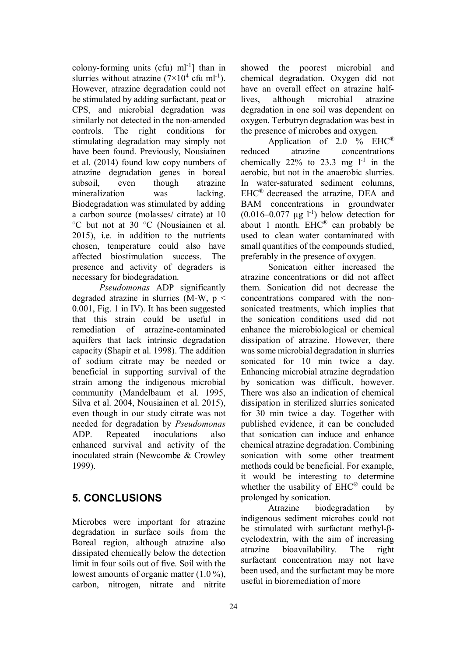colony-forming units (cfu)  $ml^{-1}$ ] than in slurries without atrazine  $(7\times10^4 \text{ cfu ml}^{-1})$ . However, atrazine degradation could not be stimulated by adding surfactant, peat or CPS, and microbial degradation was similarly not detected in the non-amended controls. The right conditions for stimulating degradation may simply not have been found. Previously, Nousiainen et al. (2014) found low copy numbers of atrazine degradation genes in boreal subsoil, even though atrazine mineralization was lacking. Biodegradation was stimulated by adding a carbon source (molasses/ citrate) at 10 °C but not at 30 °C (Nousiainen et al. 2015), i.e. in addition to the nutrients chosen, temperature could also have affected biostimulation success. The presence and activity of degraders is necessary for biodegradation.

*Pseudomonas* ADP significantly degraded atrazine in slurries  $(M-W, p \leq$ 0.001, Fig. 1 in IV). It has been suggested that this strain could be useful in remediation of atrazine-contaminated aquifers that lack intrinsic degradation capacity (Shapir et al. 1998). The addition of sodium citrate may be needed or beneficial in supporting survival of the strain among the indigenous microbial community (Mandelbaum et al. 1995, Silva et al. 2004, Nousiainen et al. 2015), even though in our study citrate was not needed for degradation by *Pseudomonas* ADP. Repeated inoculations also enhanced survival and activity of the inoculated strain (Newcombe & Crowley 1999).

# **5. CONCLUSIONS**

Microbes were important for atrazine degradation in surface soils from the Boreal region, although atrazine also dissipated chemically below the detection limit in four soils out of five. Soil with the lowest amounts of organic matter (1.0 %), carbon, nitrogen, nitrate and nitrite showed the poorest microbial and chemical degradation. Oxygen did not have an overall effect on atrazine halflives, although microbial atrazine degradation in one soil was dependent on oxygen. Terbutryn degradation was best in the presence of microbes and oxygen.

Application of  $2.0\%$  EHC<sup>®</sup> reduced atrazine concentrations chemically  $22\%$  to  $23.3$  mg  $1^{-1}$  in the aerobic, but not in the anaerobic slurries. In water-saturated sediment columns, EHC® decreased the atrazine, DEA and BAM concentrations in groundwater  $(0.016-0.077 \text{ µg } l^{-1})$  below detection for about 1 month. EHC® can probably be used to clean water contaminated with small quantities of the compounds studied, preferably in the presence of oxygen.

Sonication either increased the atrazine concentrations or did not affect them. Sonication did not decrease the concentrations compared with the nonsonicated treatments, which implies that the sonication conditions used did not enhance the microbiological or chemical dissipation of atrazine. However, there was some microbial degradation in slurries sonicated for 10 min twice a day. Enhancing microbial atrazine degradation by sonication was difficult, however. There was also an indication of chemical dissipation in sterilized slurries sonicated for 30 min twice a day. Together with published evidence, it can be concluded that sonication can induce and enhance chemical atrazine degradation. Combining sonication with some other treatment methods could be beneficial. For example, it would be interesting to determine whether the usability of EHC® could be prolonged by sonication.

Atrazine biodegradation by indigenous sediment microbes could not be stimulated with surfactant methyl- $\beta$ cyclodextrin, with the aim of increasing atrazine bioavailability. The right surfactant concentration may not have been used, and the surfactant may be more useful in bioremediation of more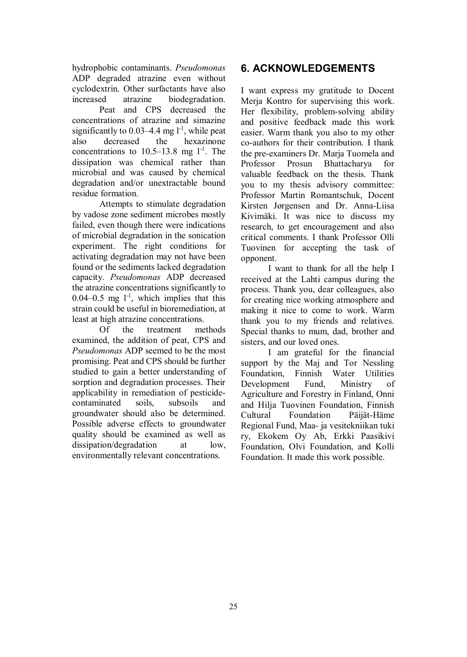hydrophobic contaminants. *Pseudomonas* ADP degraded atrazine even without cyclodextrin. Other surfactants have also increased atrazine biodegradation.

Peat and CPS decreased the concentrations of atrazine and simazine significantly to  $0.03-4.4$  mg  $1^{-1}$ , while peat also decreased the hexazinone concentrations to  $10.5-13.8$  mg  $1^{-1}$ . The dissipation was chemical rather than microbial and was caused by chemical degradation and/or unextractable bound residue formation.

Attempts to stimulate degradation by vadose zone sediment microbes mostly failed, even though there were indications of microbial degradation in the sonication experiment. The right conditions for activating degradation may not have been found or the sediments lacked degradation capacity. *Pseudomonas* ADP decreased the atrazine concentrations significantly to 0.04–0.5 mg  $1<sup>-1</sup>$ , which implies that this strain could be useful in bioremediation, at least at high atrazine concentrations.

Of the treatment methods examined, the addition of peat, CPS and *Pseudomonas* ADP seemed to be the most promising. Peat and CPS should be further studied to gain a better understanding of sorption and degradation processes. Their applicability in remediation of pesticidecontaminated soils, subsoils and groundwater should also be determined. Possible adverse effects to groundwater quality should be examined as well as dissipation/degradation at low, environmentally relevant concentrations.

# **6. ACKNOWLEDGEMENTS**

I want express my gratitude to Docent Merja Kontro for supervising this work. Her flexibility, problem-solving ability and positive feedback made this work easier. Warm thank you also to my other co-authors for their contribution. I thank the pre-examiners Dr. Marja Tuomela and Professor Prosun Bhattacharya for valuable feedback on the thesis. Thank you to my thesis advisory committee: Professor Martin Romantschuk, Docent Kirsten Jørgensen and Dr. Anna-Liisa Kivimäki. It was nice to discuss my research, to get encouragement and also critical comments. I thank Professor Olli Tuovinen for accepting the task of opponent.

I want to thank for all the help I received at the Lahti campus during the process. Thank you, dear colleagues, also for creating nice working atmosphere and making it nice to come to work. Warm thank you to my friends and relatives. Special thanks to mum, dad, brother and sisters, and our loved ones.

I am grateful for the financial support by the Maj and Tor Nessling Foundation, Finnish Water Utilities Development Fund, Ministry of Agriculture and Forestry in Finland, Onni and Hilja Tuovinen Foundation, Finnish Cultural Foundation Päijät-Häme Regional Fund, Maa- ja vesitekniikan tuki ry, Ekokem Oy Ab, Erkki Paasikivi Foundation, Olvi Foundation, and Kolli Foundation. It made this work possible.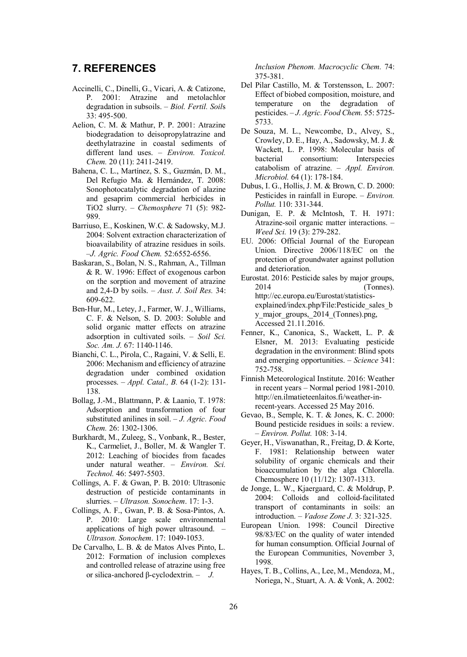# **7. REFERENCES**

- Accinelli, C., Dinelli, G., Vicari, A. & Catizone, P. 2001: Atrazine and metolachlor degradation in subsoils. – *Biol. Fertil. Soil*s 33: 495-500.
- Aelion, C. M. & Mathur, P. P. 2001: Atrazine biodegradation to deisopropylatrazine and deethylatrazine in coastal sediments of different land uses. – *Environ. Toxicol. Chem.* 20 (11): 2411-2419.
- Bahena, C. L., Martínez, S. S., Guzmán, D. M., Del Refugio Ma. & Hernández, T. 2008: Sonophotocatalytic degradation of alazine and gesaprim commercial herbicides in TiO2 slurry. – *Chemosphere* 71 (5): 982- 989.
- Barriuso, E., Koskinen, W.C. & Sadowsky, M.J. 2004: Solvent extraction characterization of bioavailability of atrazine residues in soils. *–J. Agric. Food Chem.* 52:6552-6556.
- Baskaran, S., Bolan, N. S., Rahman, A., Tillman & R. W. 1996: Effect of exogenous carbon on the sorption and movement of atrazine and 2,4-D by soils. – *Aust. J. Soil Res.* 34: 609-622.
- Ben-Hur, M., Letey, J., Farmer, W. J., Williams, C. F. & Nelson, S. D. 2003: Soluble and solid organic matter effects on atrazine adsorption in cultivated soils. – *Soil Sci. Soc. Am. J.* 67: 1140-1146.
- Bianchi, C. L., Pirola, C., Ragaini, V. & Selli, E. 2006: Mechanism and efficiency of atrazine degradation under combined oxidation processes. – *Appl. Catal., B.* 64 (1-2): 131- 138.
- Bollag, J.-M., Blattmann, P. & Laanio, T. 1978: Adsorption and transformation of four substituted anilines in soil. – *J. Agric. Food Chem.* 26: 1302-1306.
- Burkhardt, M., Zuleeg, S., Vonbank, R., Bester, K., Carmeliet, J., Boller, M. & Wangler T. 2012: Leaching of biocides from facades under natural weather. – *Environ. Sci. Technol.* 46: 5497-5503.
- Collings, A. F. & Gwan, P. B. 2010: Ultrasonic destruction of pesticide contaminants in slurries. – *Ultrason. Sonochem*. 17: 1-3.
- Collings, A. F., Gwan, P. B. & Sosa-Pintos, A. P. 2010: Large scale environmental applications of high power ultrasound. – *Ultrason. Sonochem*. 17: 1049-1053.
- De Carvalho, L. B. & de Matos Alves Pinto, L. 2012: Formation of inclusion complexes and controlled release of atrazine using free or silica-anchored ȕ-cyclodextrin. *– J.*

*Inclusion Phenom. Macrocyclic Chem.* 74: 375-381.

- Del Pilar Castillo, M. & Torstensson, L. 2007: Effect of biobed composition, moisture, and temperature on the degradation of pesticides. *– J. Agric. Food Chem.* 55: 5725- 5733.
- De Souza, M. L., Newcombe, D., Alvey, S., Crowley, D. E., Hay, A., Sadowsky, M. J. & Wackett, L. P. 1998: Molecular basis of bacterial consortium: Interspecies catabolism of atrazine. – *Appl. Environ. Microbiol.* 64 (1): 178-184.
- Dubus, I. G., Hollis, J. M. & Brown, C. D. 2000: Pesticides in rainfall in Europe. – *Environ. Pollut.* 110: 331-344.
- Dunigan, E. P. & McIntosh, T. H. 1971: Atrazine-soil organic matter interactions. – *Weed Sci.* 19 (3): 279-282.
- EU. 2006: Official Journal of the European Union. Directive 2006/118/EC on the protection of groundwater against pollution and deterioration.
- Eurostat. 2016: Pesticide sales by major groups, 2014 (Tonnes). http://ec.europa.eu/Eurostat/statisticsexplained/index.php/File:Pesticide\_sales\_b y\_major\_groups, 2014 (Tonnes).png, Accessed 21.11.2016.
- Fenner, K., Canonica, S., Wackett, L. P. & Elsner, M. 2013: Evaluating pesticide degradation in the environment: Blind spots and emerging opportunities. – *Science* 341: 752-758.
- Finnish Meteorological Institute. 2016: Weather in recent years – Normal period 1981-2010. http://en.ilmatieteenlaitos.fi/weather-inrecent-years. Accessed 25 May 2016.
- Gevao, B., Semple, K. T. & Jones, K. C. 2000: Bound pesticide residues in soils: a review. *– Environ. Pollut.* 108: 3-14.
- Geyer, H., Viswanathan, R., Freitag, D. & Korte, F. 1981: Relationship between water solubility of organic chemicals and their bioaccumulation by the alga Chlorella. Chemosphere 10 (11/12): 1307-1313.
- de Jonge, L. W., Kjaergaard, C. & Moldrup, P. 2004: Colloids and colloid-facilitated transport of contaminants in soils: an introduction. – *Vadose Zone J.* 3: 321-325.
- European Union. 1998: Council Directive 98/83/EC on the quality of water intended for human consumption. Official Journal of the European Communities, November 3, 1998.
- Hayes, T. B., Collins, A., Lee, M., Mendoza, M., Noriega, N., Stuart, A. A. & Vonk, A. 2002: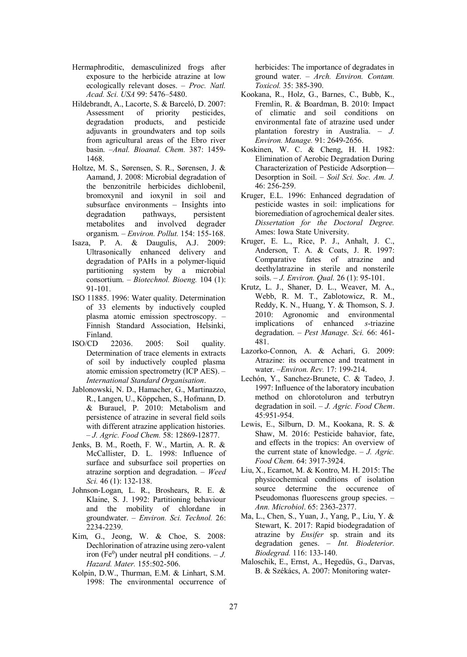- Hermaphroditic, demasculinized frogs after exposure to the herbicide atrazine at low ecologically relevant doses. – *Proc. Natl. Acad. Sci. USA* 99: 5476–5480.
- Hildebrandt, A., Lacorte, S. & Barceló, D. 2007:<br>Assessment of priority pesticides. Assessment of priority pesticides, degradation products, and pesticide adjuvants in groundwaters and top soils from agricultural areas of the Ebro river basin. *–Anal. Bioanal. Chem.* 387: 1459- 1468.
- Holtze, M. S., Sørensen, S. R., Sørensen, J. & Aamand, J. 2008: Microbial degradation of the benzonitrile herbicides dichlobenil, bromoxynil and ioxynil in soil and subsurface environments – Insights into degradation pathways, persistent metabolites and involved degrader organism. – *Environ. Pollut.* 154: 155-168.
- Isaza, P. A. & Daugulis, A.J. 2009: Ultrasonically enhanced delivery and degradation of PAHs in a polymer-liquid partitioning system by a microbial consortium. – *Biotechnol. Bioeng.* 104 (1): 91-101.
- ISO 11885. 1996: Water quality. Determination of 33 elements by inductively coupled plasma atomic emission spectroscopy. – Finnish Standard Association, Helsinki, Finland.
- ISO/CD 22036. 2005: Soil quality. Determination of trace elements in extracts of soil by inductively coupled plasma atomic emission spectrometry (ICP AES). – *International Standard Organisation*.
- Jablonowski, N. D., Hamacher, G., Martinazzo, R., Langen, U., Köppchen, S., Hofmann, D. & Burauel, P. 2010: Metabolism and persistence of atrazine in several field soils with different atrazine application histories. – *J. Agric. Food Chem.* 58: 12869-12877.
- Jenks, B. M., Roeth, F. W., Martin, A. R. & McCallister, D. L. 1998: Influence of surface and subsurface soil properties on atrazine sorption and degradation. – *Weed Sci.* 46 (1): 132-138.
- Johnson-Logan, L. R., Broshears, R. E. & Klaine, S. J. 1992: Partitioning behaviour and the mobility of chlordane in groundwater. – *Environ. Sci. Technol.* 26: 2234-2239.
- Kim, G., Jeong, W. & Choe, S. 2008: Dechlorination of atrazine using zero-valent iron (Fe<sup>0</sup>) under neutral pH conditions.  $-J$ . *Hazard. Mater.* 155:502-506.
- Kolpin, D.W., Thurman, E.M. & Linhart, S.M. 1998: The environmental occurrence of

herbicides: The importance of degradates in ground water. *– Arch. Environ. Contam. Toxicol.* 35: 385-390.

- Kookana, R., Holz, G., Barnes, C., Bubb, K., Fremlin, R. & Boardman, B. 2010: Impact of climatic and soil conditions on environmental fate of atrazine used under plantation forestry in Australia. – *J. Environ. Manage.* 91: 2649-2656.
- Koskinen, W. C. & Cheng, H. H. 1982: Elimination of Aerobic Degradation During Characterization of Pesticide Adsorption— Desorption in Soil. – *Soil Sci. Soc. Am. J.* 46: 256-259.
- Kruger, E.L. 1996: Enhanced degradation of pesticide wastes in soil: implications for bioremediation of agrochemical dealer sites. *Dissertation for the Doctoral Degree.* Ames: Iowa State University.
- Kruger, E. L., Rice, P. J., Anhalt, J. C., Anderson, T. A. & Coats, J. R. 1997: Comparative fates of atrazine and deethylatrazine in sterile and nonsterile soils. *– J. Environ. Qual.* 26 (1): 95-101.
- Krutz, L. J., Shaner, D. L., Weaver, M. A., Webb, R. M. T., Zablotowicz, R. M., Reddy, K. N., Huang, Y. & Thomson, S. J. 2010: Agronomic and environmental implications of enhanced *s*-triazine degradation. *– Pest Manage. Sci.* 66: 461- 481.
- Lazorko-Connon, A. & Achari, G. 2009: Atrazine: its occurrence and treatment in water. *–Environ. Rev.* 17: 199-214.
- Lechón, Y., Sanchez-Brunete, C. & Tadeo, J. 1997: Influence of the laboratory incubation method on chlorotoluron and terbutryn degradation in soil. – *J. Agric. Food Chem*. 45:951-954.
- Lewis, E., Silburn, D. M., Kookana, R. S. & Shaw, M. 2016: Pesticide bahavior, fate, and effects in the tropics: An overview of the current state of knowledge. – *J. Agric. Food Chem.* 64: 3917-3924.
- Liu, X., Ecarnot, M. & Kontro, M. H. 2015: The physicochemical conditions of isolation source determine the occurence of Pseudomonas fluorescens group species. – *Ann. Microbiol*. 65: 2363-2377.
- Ma, L., Chen, S., Yuan, J., Yang, P., Liu, Y. & Stewart, K. 2017: Rapid biodegradation of atrazine by *Ensifer* sp. strain and its degradation genes. – *Int. Biodeterior. Biodegrad.* 116: 133-140.
- Maloschik, E., Ernst, A., Hegedüs, G., Darvas, B. & Székács, A. 2007: Monitoring water-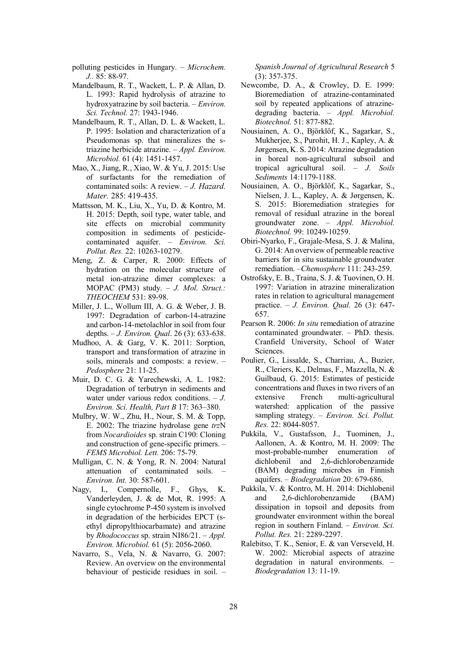- polluting pesticides in Hungary.  *Microchem. J..* 85: 88-97.
- Mandelbaum, R. T., Wackett, L. P. & Allan, D. L. 1993: Rapid hydrolysis of atrazine to hydroxyatrazine by soil bacteria. – *Environ. Sci. Technol.* 27: 1943-1946.
- Mandelbaum, R. T., Allan, D. L. & Wackett, L. P. 1995: Isolation and characterization of a Pseudomonas sp. that mineralizes the striazine herbicide atrazine. – *Appl. Environ. Microbiol.* 61 (4): 1451-1457.
- Mao, X., Jiang, R., Xiao, W. & Yu, J. 2015: Use of surfactants for the remediation of contaminated soils: A review. – *J. Hazard. Mater.* 285: 419-435.
- Mattsson, M. K., Liu, X., Yu, D. & Kontro, M. H. 2015: Depth, soil type, water table, and site effects on microbial community composition in sediments of pesticidecontaminated aquifer. – *Environ. Sci. Pollut. Res.* 22: 10263-10279.
- Meng, Z. & Carper, R. 2000: Effects of hydration on the molecular structure of metal ion-atrazine dimer complexes: a MOPAC (PM3) study. – *J. Mol. Struct.: THEOCHEM* 531: 89-98.
- Miller, J. L., Wollum III, A. G. & Weber, J. B. 1997: Degradation of carbon-14-atrazine and carbon-14-metolachlor in soil from four depths. – *J. Environ. Qual*. 26 (3): 633-638.
- Mudhoo, A. & Garg, V. K. 2011: Sorption, transport and transformation of atrazine in soils, minerals and composts: a review. – *Pedosphere* 21: 11-25.
- Muir, D. C. G. & Yarechewski, A. L. 1982: Degradation of terbutryn in sediments and water under various redox conditions. – *J. Environ. Sci. Health, Part B* 17: 363–380.
- Mulbry, W. W., Zhu, H., Nour, S. M. & Topp, E. 2002: The triazine hydrolase gene *trz*N from *Nocardioides* sp. strain C190: Cloning and construction of gene-specific primers. *– FEMS Microbiol. Lett.* 206: 75-79.
- Mulligan, C. N. & Yong, R. N. 2004: Natural attenuation of contaminated soils. *– Environ. Int.* 30: 587-601.
- Nagy, I., Compernolle, F., Ghys, K. Vanderleyden, J. & de Mot, R. 1995: A single cytochrome P-450 system is involved in degradation of the herbicides EPCT (sethyl dipropylthiocarbamate) and atrazine by *Rhodococcus* sp. strain NI86/21. *– Appl. Environ. Microbiol.* 61 (5): 2056-2060.
- Navarro, S., Vela, N. & Navarro, G. 2007: Review. An overview on the environmental behaviour of pesticide residues in soil. *–*

*Spanish Journal of Agricultural Research* 5 (3): 357-375.

- Newcombe, D. A., & Crowley, D. E. 1999: Bioremediation of atrazine-contaminated soil by repeated applications of atrazinedegrading bacteria. – *Appl. Microbiol. Biotechnol.* 51: 877-882.
- Nousiainen, A. O., Björklöf, K., Sagarkar, S., Mukherjee, S., Purohit, H. J., Kapley, A. & Jørgensen, K. S. 2014: Atrazine degradation in boreal non-agricultural subsoil and tropical agricultural soil. – *J. Soils Sediments* 14:1179-1188.
- Nousiainen, A. O., Björklöf, K., Sagarkar, S., Nielsen, J. L., Kapley, A. & Jørgensen, K. S. 2015: Bioremediation strategies for removal of residual atrazine in the boreal groundwater zone. – *Appl. Microbiol. Biotechnol.* 99: 10249-10259.
- Obiri-Nyarko, F., Grajale-Mesa, S. J. & Malina, G. 2014: An overview of permeable reactive barriers for in situ sustainable groundwater remediation. *–Chemosphere* 111: 243-259.
- Ostrofsky, E. B., Traina, S. J. & Tuovinen, O. H. 1997: Variation in atrazine mineralization rates in relation to agricultural management practice. – *J. Environ. Qual.* 26 (3): 647- 657.
- Pearson R. 2006: *In situ* remediation of atrazine contaminated groundwater. – PhD. thesis. Cranfield University, School of Water Sciences.
- Poulier, G., Lissalde, S., Charriau, A., Buzier, R., Cleriers, K., Delmas, F., Mazzella, N. & Guilbaud, G. 2015: Estimates of pesticide concentrations and fluxes in two rivers of an extensive French multi-agricultural watershed: application of the passive sampling strategy. *– Environ. Sci. Pollut. Res.* 22: 8044-8057.
- Pukkila, V., Gustafsson, J., Tuominen, J., Aallonen, A. & Kontro, M. H. 2009: The most-probable-number enumeration of dichlobenil and 2,6-dichlorobenzamide (BAM) degrading microbes in Finnish aquifers. – *Biodegradation* 20: 679-686.
- Pukkila, V. & Kontro, M. H. 2014: Dichlobenil and 2,6-dichlorobenzamide (BAM) dissipation in topsoil and deposits from groundwater environment within the boreal region in southern Finland. – *Environ. Sci. Pollut. Res.* 21: 2289-2297.
- Ralebitso, T. K., Senior, E. & van Verseveld, H. W. 2002: Microbial aspects of atrazine degradation in natural environments. – *Biodegradation* 13: 11-19.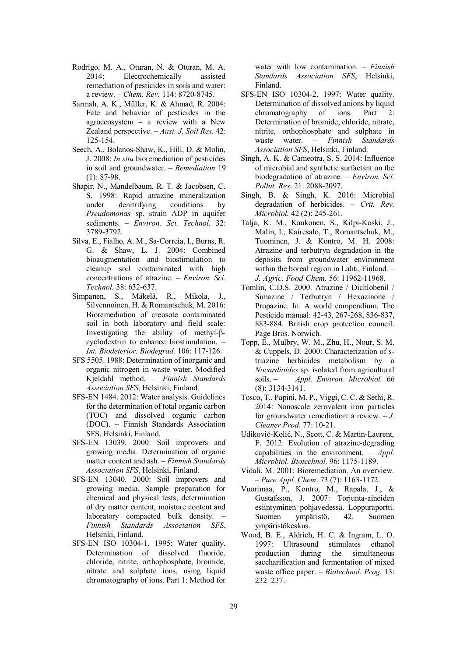- Rodrigo, M. A., Oturan, N. & Oturan, M. A. 2014: Electrochemically assisted remediation of pesticides in soils and water: a review. *– Chem. Rev.* 114: 8720-8745.
- Sarmah, A. K., Müller, K. & Ahmad, R. 2004: Fate and behavior of pesticides in the agroecosystem – a review with a New Zealand perspective. *– Aust. J. Soil Res.* 42: 125-154.
- Seech, A., Bolanos-Shaw, K., Hill, D. & Molin, J. 2008: *In situ* bioremediation of pesticides in soil and groundwater. – *Remediation* 19  $(1): 87-98.$
- Shapir, N., Mandelbaum, R. T. & Jacobsen, C. S. 1998: Rapid atrazine mineralization under denitrifying conditions by *Pseudomonas* sp. strain ADP in aquifer sediments. – *Environ. Sci. Technol.* 32: 3789-3792.
- Silva, E., Fialho, A. M., Sa-Correia, I., Burns, R. G. & Shaw, L. J. 2004: Combined bioaugmentation and biostimulation to cleanup soil contaminated with high concentrations of atrazine. – *Environ. Sci. Technol.* 38: 632-637.
- Simpanen, S., Mäkelä, R., Mikola, J., Silvennoinen, H. & Romantschuk, M. 2016: Bioremediation of creosote contaminated soil in both laboratory and field scale: Investigating the ability of methyl- $\beta$ cyclodextrin to enhance biostimulation. *– Int. Biodeterior. Biodegrad.* 106: 117-126.
- SFS 5505. 1988: Determination of inorganic and organic nitrogen in waste water. Modified Kjeldahl method. – *Finnish Standards Association SFS*, Helsinki, Finland.
- SFS-EN 1484. 2012: Water analysis. Guidelines for the determination of total organic carbon (TOC) and dissolved organic carbon (DOC). – Finnish Standards Association SFS, Helsinki, Finland.
- SFS-EN 13039. 2000: Soil improvers and growing media. Determination of organic matter content and ash. *– Finnish Standards Association SFS*, Helsinki, Finland.
- SFS-EN 13040. 2000: Soil improvers and growing media. Sample preparation for chemical and physical tests, determination of dry matter content, moisture content and laboratory compacted bulk density. *– Finnish Standards Association* Helsinki, Finland.
- SFS-EN ISO 10304-1. 1995: Water quality. Determination of dissolved fluoride, chloride, nitrite, orthophosphate, bromide, nitrate and sulphate ions, using liquid chromatography of ions. Part 1: Method for

water with low contamination. – *Finnish Standards Association SFS*, Helsinki, Finland.

- SFS-EN ISO 10304-2. 1997: Water quality. Determination of dissolved anions by liquid chromatography of ions. Part 2: Determination of bromide, chloride, nitrate, nitrite, orthophosphate and sulphate in waste water. – *Finnish Standards Association SFS*, Helsinki, Finland.
- Singh, A. K. & Cameotra, S. S. 2014: Influence of microbial and synthetic surfactant on the biodegradation of atrazine. *– Environ. Sci. Pollut. Res.* 21: 2088-2097.
- Singh, B. & Singh, K. 2016: Microbial degradation of herbicides. *– Crit. Rev. Microbiol.* 42 (2): 245-261.
- Talja, K. M., Kaukonen, S., Kilpi-Koski, J., Malin, I., Kairesalo, T., Romantschuk, M., Tuominen, J. & Kontro, M. H. 2008: Atrazine and terbutryn degradation in the deposits from groundwater environment within the boreal region in Lahti, Finland. *– J. Agric. Food Chem.* 56: 11962-11968.
- Tomlin, C.D.S. 2000. Atrazine / Dichlobenil / Simazine / Terbutryn / Hexazinone / Propazine. In: A world compendium. The Pesticide manual: 42-43, 267-268, 836-837, 883-884. British crop protection council. Page Bros. Norwich.
- Topp, E., Mulbry, W. M., Zhu, H., Nour, S. M. & Cuppels, D. 2000: Characterization of striazine herbicides metabolism by a *Nocardioides* sp. isolated from agricultural soils. – *Appl. Environ. Microbiol.* 66 (8): 3134-3141.
- Tosco, T., Papini, M. P., Viggi, C. C. & Sethi, R. 2014: Nanoscale zerovalent iron particles for groundwater remediation: a review. – *J. Cleaner Prod.* 77: 10-21.
- Udiković-Kolić, N., Scott, C. & Martin-Laurent, F. 2012: Evolution of atrazine-degrading capabilities in the environment. *– Appl. Microbiol. Biotechnol.* 96: 1175-1189.
- Vidali, M. 2001: Bioremediation. An overview. *– Pure Appl. Chem*. 73 (7): 1163-1172.
- Vuorimaa, P., Kontro, M., Rapala, J., & Gustafsson, J. 2007: Torjunta-aineiden esiintyminen pohjavedessä. Loppuraportti. Suomen ympäristö, 42. Suomen ympäristökeskus.
- Wood, B. E., Aldrich, H. C. & Ingram, L. O. 1997: Ultrasound stimulates ethanol production during the simultaneous saccharification and fermentation of mixed waste office paper. – *Biotechnol. Prog.* 13: 232–237.